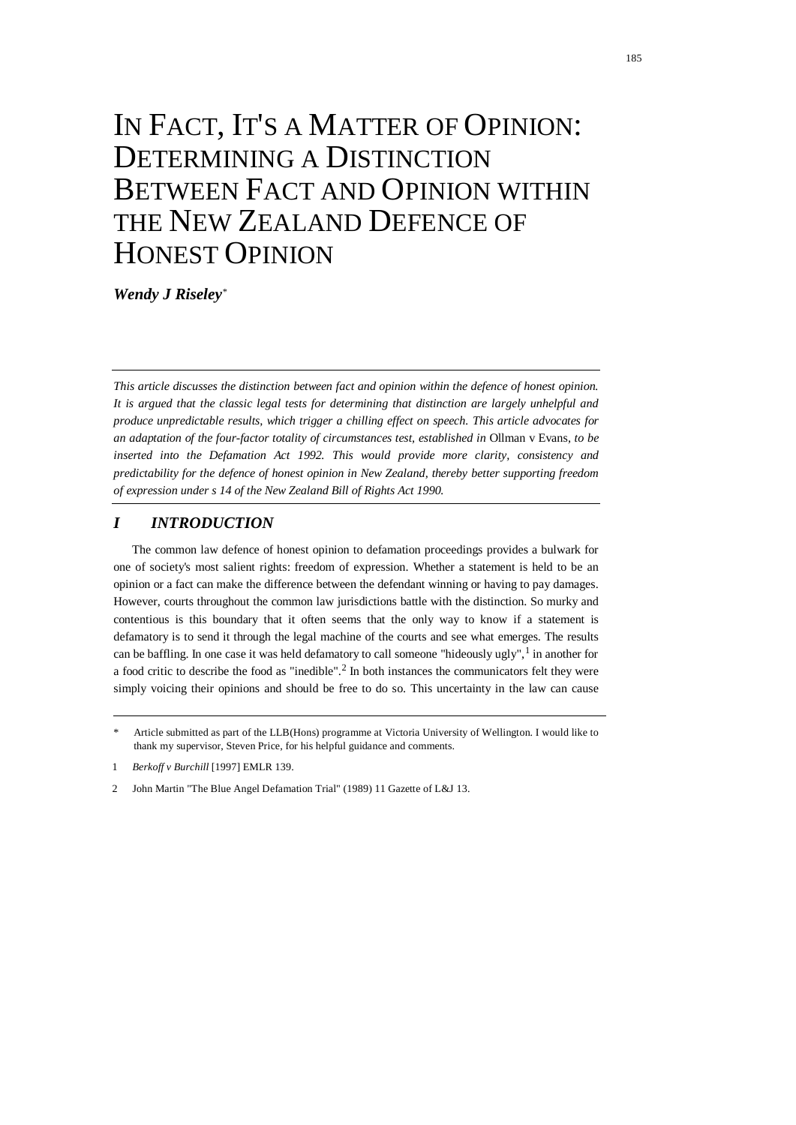# IN FACT, IT'S A MATTER OF OPINION: DETERMINING A DISTINCTION BETWEEN FACT AND OPINION WITHIN THE NEW ZEALAND DEFENCE OF HONEST OPINION

*Wendy J Riseley*[\\*](#page-0-0)

*This article discusses the distinction between fact and opinion within the defence of honest opinion. It is argued that the classic legal tests for determining that distinction are largely unhelpful and produce unpredictable results, which trigger a chilling effect on speech. This article advocates for an adaptation of the four-factor totality of circumstances test, established in* Ollman v Evans*, to be inserted into the Defamation Act 1992. This would provide more clarity, consistency and predictability for the defence of honest opinion in New Zealand, thereby better supporting freedom of expression under s 14 of the New Zealand Bill of Rights Act 1990.*

# *I INTRODUCTION*

The common law defence of honest opinion to defamation proceedings provides a bulwark for one of society's most salient rights: freedom of expression. Whether a statement is held to be an opinion or a fact can make the difference between the defendant winning or having to pay damages. However, courts throughout the common law jurisdictions battle with the distinction. So murky and contentious is this boundary that it often seems that the only way to know if a statement is defamatory is to send it through the legal machine of the courts and see what emerges. The results can be baffling. In one case it was held defamatory to call someone "hideously ugly", <sup>[1](#page-0-1)</sup> in another for a food critic to describe the food as "inedible".<sup>[2](#page-0-2)</sup> In both instances the communicators felt they were simply voicing their opinions and should be free to do so. This uncertainty in the law can cause

<span id="page-0-0"></span>Article submitted as part of the LLB(Hons) programme at Victoria University of Wellington. I would like to thank my supervisor, Steven Price, for his helpful guidance and comments.

<span id="page-0-1"></span><sup>1</sup> *Berkoff v Burchill* [1997] EMLR 139.

<span id="page-0-2"></span><sup>2</sup> John Martin "The Blue Angel Defamation Trial" (1989) 11 Gazette of L&J 13.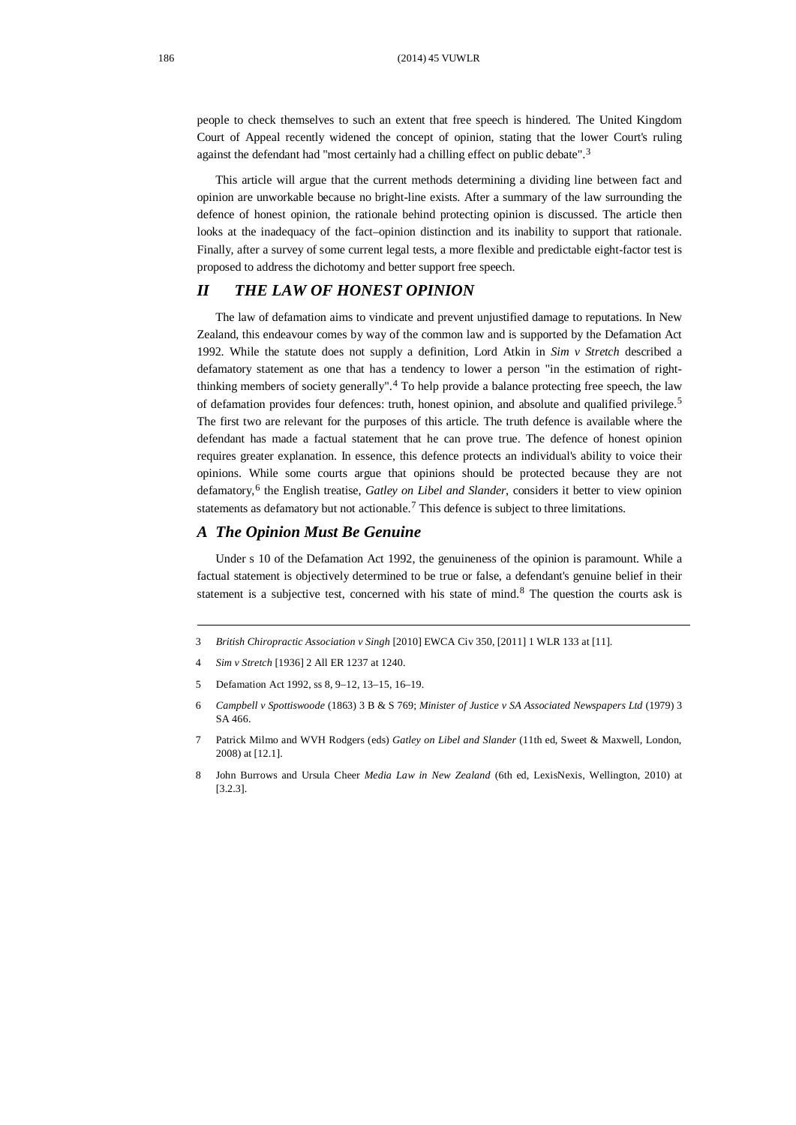people to check themselves to such an extent that free speech is hindered. The United Kingdom Court of Appeal recently widened the concept of opinion, stating that the lower Court's ruling against the defendant had "most certainly had a chilling effect on public debate".<sup>[3](#page-1-0)</sup>

This article will argue that the current methods determining a dividing line between fact and opinion are unworkable because no bright-line exists. After a summary of the law surrounding the defence of honest opinion, the rationale behind protecting opinion is discussed. The article then looks at the inadequacy of the fact–opinion distinction and its inability to support that rationale. Finally, after a survey of some current legal tests, a more flexible and predictable eight-factor test is proposed to address the dichotomy and better support free speech.

# *II THE LAW OF HONEST OPINION*

The law of defamation aims to vindicate and prevent unjustified damage to reputations. In New Zealand, this endeavour comes by way of the common law and is supported by the Defamation Act 1992. While the statute does not supply a definition, Lord Atkin in *Sim v Stretch* described a defamatory statement as one that has a tendency to lower a person "in the estimation of rightthinking members of society generally". [4](#page-1-1) To help provide a balance protecting free speech, the law of defamation provides four defences: truth, honest opinion, and absolute and qualified privilege.<sup>[5](#page-1-2)</sup> The first two are relevant for the purposes of this article. The truth defence is available where the defendant has made a factual statement that he can prove true. The defence of honest opinion requires greater explanation. In essence, this defence protects an individual's ability to voice their opinions. While some courts argue that opinions should be protected because they are not defamatory,[6](#page-1-3) the English treatise, *Gatley on Libel and Slander*, considers it better to view opinion statements as defamatory but not actionable.<sup>[7](#page-1-4)</sup> This defence is subject to three limitations.

#### *A The Opinion Must Be Genuine*

Under s 10 of the Defamation Act 1992, the genuineness of the opinion is paramount. While a factual statement is objectively determined to be true or false, a defendant's genuine belief in their statement is a subjective test, concerned with his state of mind.<sup>[8](#page-1-5)</sup> The question the courts ask is

- <span id="page-1-0"></span>3 *British Chiropractic Association v Singh* [2010] EWCA Civ 350, [2011] 1 WLR 133 at [11].
- <span id="page-1-1"></span>4 *Sim v Stretch* [1936] 2 All ER 1237 at 1240.
- <span id="page-1-2"></span>5 Defamation Act 1992, ss 8, 9–12, 13–15, 16–19.
- <span id="page-1-3"></span>6 *Campbell v Spottiswoode* (1863) 3 B & S 769; *Minister of Justice v SA Associated Newspapers Ltd* (1979) 3 SA 466.
- <span id="page-1-4"></span>7 Patrick Milmo and WVH Rodgers (eds) *Gatley on Libel and Slander* (11th ed, Sweet & Maxwell, London, 2008) at [12.1].
- <span id="page-1-5"></span>8 John Burrows and Ursula Cheer *Media Law in New Zealand* (6th ed, LexisNexis, Wellington, 2010) at [3.2.3].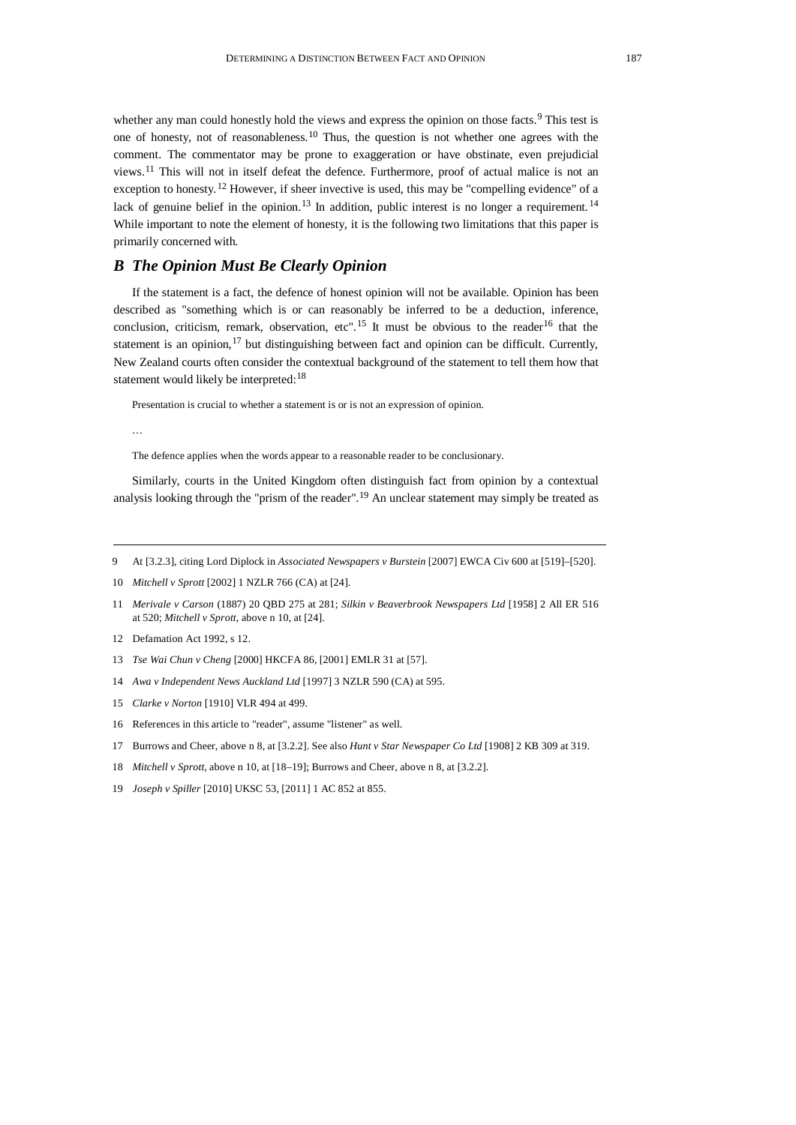whether any man could honestly hold the views and express the opinion on those facts.<sup>[9](#page-2-0)</sup> This test is one of honesty, not of reasonableness. [10](#page-2-1) Thus, the question is not whether one agrees with the comment. The commentator may be prone to exaggeration or have obstinate, even prejudicial views.<sup>[11](#page-2-2)</sup> This will not in itself defeat the defence. Furthermore, proof of actual malice is not an exception to honesty.<sup>[12](#page-2-3)</sup> However, if sheer invective is used, this may be "compelling evidence" of a lack of genuine belief in the opinion.<sup>[13](#page-2-4)</sup> In addition, public interest is no longer a requirement.<sup>[14](#page-2-5)</sup> While important to note the element of honesty, it is the following two limitations that this paper is primarily concerned with.

## *B The Opinion Must Be Clearly Opinion*

If the statement is a fact, the defence of honest opinion will not be available. Opinion has been described as "something which is or can reasonably be inferred to be a deduction, inference, conclusion, criticism, remark, observation, etc".<sup>[15](#page-2-6)</sup> It must be obvious to the reader<sup>[16](#page-2-7)</sup> that the statement is an opinion,<sup>[17](#page-2-8)</sup> but distinguishing between fact and opinion can be difficult. Currently, New Zealand courts often consider the contextual background of the statement to tell them how that statement would likely be interpreted:<sup>[18](#page-2-9)</sup>

Presentation is crucial to whether a statement is or is not an expression of opinion.

…

The defence applies when the words appear to a reasonable reader to be conclusionary.

Similarly, courts in the United Kingdom often distinguish fact from opinion by a contextual analysis looking through the "prism of the reader".<sup>[19](#page-2-10)</sup> An unclear statement may simply be treated as

- <span id="page-2-0"></span>9 At [3.2.3], citing Lord Diplock in *Associated Newspapers v Burstein* [2007] EWCA Civ 600 at [519]–[520].
- <span id="page-2-1"></span>10 *Mitchell v Sprott* [2002] 1 NZLR 766 (CA) at [24].
- <span id="page-2-2"></span>11 *Merivale v Carson* (1887) 20 QBD 275 at 281; *Silkin v Beaverbrook Newspapers Ltd* [1958] 2 All ER 516 at 520; *Mitchell v Sprott*, above n 10, at [24].
- <span id="page-2-3"></span>12 Defamation Act 1992, s 12.
- <span id="page-2-4"></span>13 *Tse Wai Chun v Cheng* [2000] HKCFA 86, [2001] EMLR 31 at [57].
- <span id="page-2-5"></span>14 *Awa v Independent News Auckland Ltd* [1997] 3 NZLR 590 (CA) at 595.
- <span id="page-2-6"></span>15 *Clarke v Norton* [1910] VLR 494 at 499.
- <span id="page-2-7"></span>16 References in this article to "reader", assume "listener" as well.
- <span id="page-2-8"></span>17 Burrows and Cheer, above n 8, at [3.2.2]. See also *Hunt v Star Newspaper Co Ltd* [1908] 2 KB 309 at 319.
- <span id="page-2-9"></span>18 *Mitchell v Sprott*, above n 10, at [18–19]; Burrows and Cheer, above n 8, at [3.2.2].
- <span id="page-2-10"></span>19 *Joseph v Spiller* [2010] UKSC 53, [2011] 1 AC 852 at 855.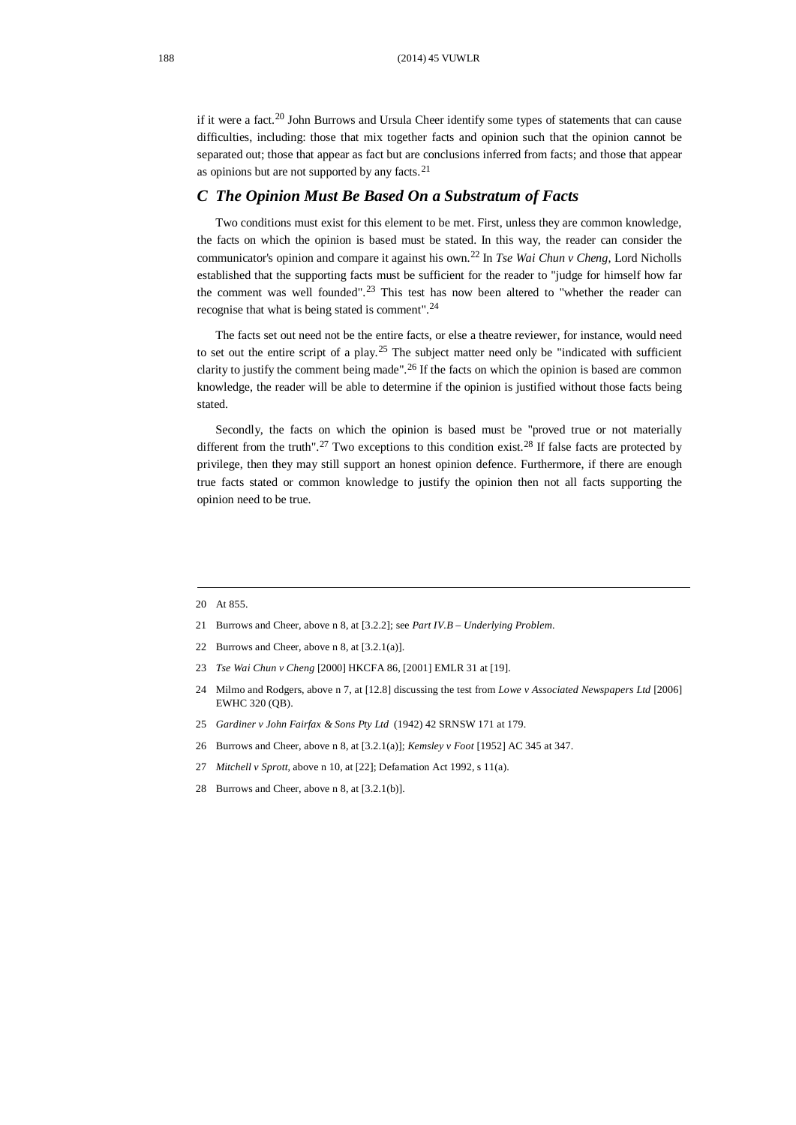if it were a fact.<sup>[20](#page-3-0)</sup> John Burrows and Ursula Cheer identify some types of statements that can cause difficulties, including: those that mix together facts and opinion such that the opinion cannot be separated out; those that appear as fact but are conclusions inferred from facts; and those that appear as opinions but are not supported by any facts.<sup>[21](#page-3-1)</sup>

## *C The Opinion Must Be Based On a Substratum of Facts*

Two conditions must exist for this element to be met. First, unless they are common knowledge, the facts on which the opinion is based must be stated. In this way, the reader can consider the communicator's opinion and compare it against his own. [22](#page-3-2) In *Tse Wai Chun v Cheng*, Lord Nicholls established that the supporting facts must be sufficient for the reader to "judge for himself how far the comment was well founded". [23](#page-3-3) This test has now been altered to "whether the reader can recognise that what is being stated is comment". [24](#page-3-4)

The facts set out need not be the entire facts, or else a theatre reviewer, for instance, would need to set out the entire script of a play.<sup>[25](#page-3-5)</sup> The subject matter need only be "indicated with sufficient clarity to justify the comment being made". [26](#page-3-6) If the facts on which the opinion is based are common knowledge, the reader will be able to determine if the opinion is justified without those facts being stated.

Secondly, the facts on which the opinion is based must be "proved true or not materially different from the truth".<sup>[27](#page-3-7)</sup> Two exceptions to this condition exist.<sup>[28](#page-3-8)</sup> If false facts are protected by privilege, then they may still support an honest opinion defence. Furthermore, if there are enough true facts stated or common knowledge to justify the opinion then not all facts supporting the opinion need to be true.

- <span id="page-3-1"></span>21 Burrows and Cheer, above n 8, at [3.2.2]; see *Part IV.B – Underlying Problem*.
- <span id="page-3-2"></span>22 Burrows and Cheer, above n 8, at [3.2.1(a)].
- <span id="page-3-3"></span>23 *Tse Wai Chun v Cheng* [2000] HKCFA 86, [2001] EMLR 31 at [19].
- <span id="page-3-4"></span>24 Milmo and Rodgers, above n 7, at [12.8] discussing the test from *Lowe v Associated Newspapers Ltd* [2006] EWHC 320 (QB).
- <span id="page-3-5"></span>25 *Gardiner v John Fairfax & Sons Pty Ltd* (1942) 42 SRNSW 171 at 179.
- <span id="page-3-6"></span>26 Burrows and Cheer, above n 8, at [3.2.1(a)]; *Kemsley v Foot* [1952] AC 345 at 347.
- <span id="page-3-7"></span>27 *Mitchell v Sprott*, above n 10, at [22]; Defamation Act 1992, s 11(a).
- <span id="page-3-8"></span>28 Burrows and Cheer, above n 8, at [3.2.1(b)].

<span id="page-3-0"></span><sup>20</sup> At 855.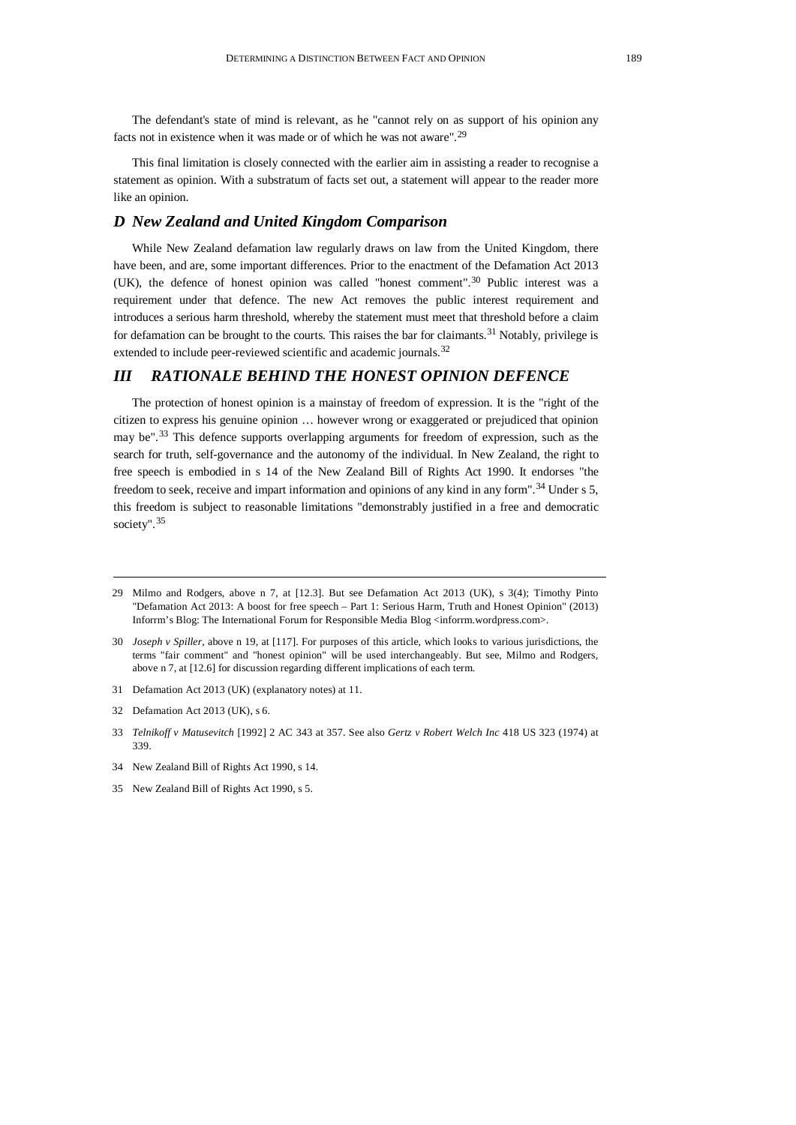The defendant's state of mind is relevant, as he "cannot rely on as support of his opinion any facts not in existence when it was made or of which he was not aware". [29](#page-4-0)

This final limitation is closely connected with the earlier aim in assisting a reader to recognise a statement as opinion. With a substratum of facts set out, a statement will appear to the reader more like an opinion.

## *D New Zealand and United Kingdom Comparison*

While New Zealand defamation law regularly draws on law from the United Kingdom, there have been, and are, some important differences. Prior to the enactment of the Defamation Act 2013 (UK), the defence of honest opinion was called "honest comment". [30](#page-4-1) Public interest was a requirement under that defence. The new Act removes the public interest requirement and introduces a serious harm threshold, whereby the statement must meet that threshold before a claim for defamation can be brought to the courts. This raises the bar for claimants.<sup>[31](#page-4-2)</sup> Notably, privilege is extended to include peer-reviewed scientific and academic journals.<sup>[32](#page-4-3)</sup>

# *III RATIONALE BEHIND THE HONEST OPINION DEFENCE*

The protection of honest opinion is a mainstay of freedom of expression. It is the "right of the citizen to express his genuine opinion … however wrong or exaggerated or prejudiced that opinion may be".<sup>[33](#page-4-4)</sup> This defence supports overlapping arguments for freedom of expression, such as the search for truth, self-governance and the autonomy of the individual. In New Zealand, the right to free speech is embodied in s 14 of the New Zealand Bill of Rights Act 1990. It endorses "the freedom to seek, receive and impart information and opinions of any kind in any form".<sup>[34](#page-4-5)</sup> Under s 5, this freedom is subject to reasonable limitations "demonstrably justified in a free and democratic society". [35](#page-4-6)

- <span id="page-4-2"></span>31 Defamation Act 2013 (UK) (explanatory notes) at 11.
- <span id="page-4-3"></span>32 Defamation Act 2013 (UK), s 6.

<span id="page-4-0"></span><sup>29</sup> Milmo and Rodgers, above n 7, at [12.3]. But see Defamation Act 2013 (UK), s 3(4); Timothy Pinto "Defamation Act 2013: A boost for free speech – Part 1: Serious Harm, Truth and Honest Opinion" (2013) Inforrm's Blog: The International Forum for Responsible Media Blog <inforrm.wordpress.com>.

<span id="page-4-1"></span><sup>30</sup> *Joseph v Spiller*, above n 19, at [117]. For purposes of this article, which looks to various jurisdictions, the terms "fair comment" and "honest opinion" will be used interchangeably. But see, Milmo and Rodgers, above n 7, at [12.6] for discussion regarding different implications of each term.

<span id="page-4-4"></span><sup>33</sup> *Telnikoff v Matusevitch* [1992] 2 AC 343 at 357. See also *Gertz v Robert Welch Inc* 418 US 323 (1974) at 339.

<span id="page-4-5"></span><sup>34</sup> New Zealand Bill of Rights Act 1990, s 14.

<span id="page-4-6"></span><sup>35</sup> New Zealand Bill of Rights Act 1990, s 5.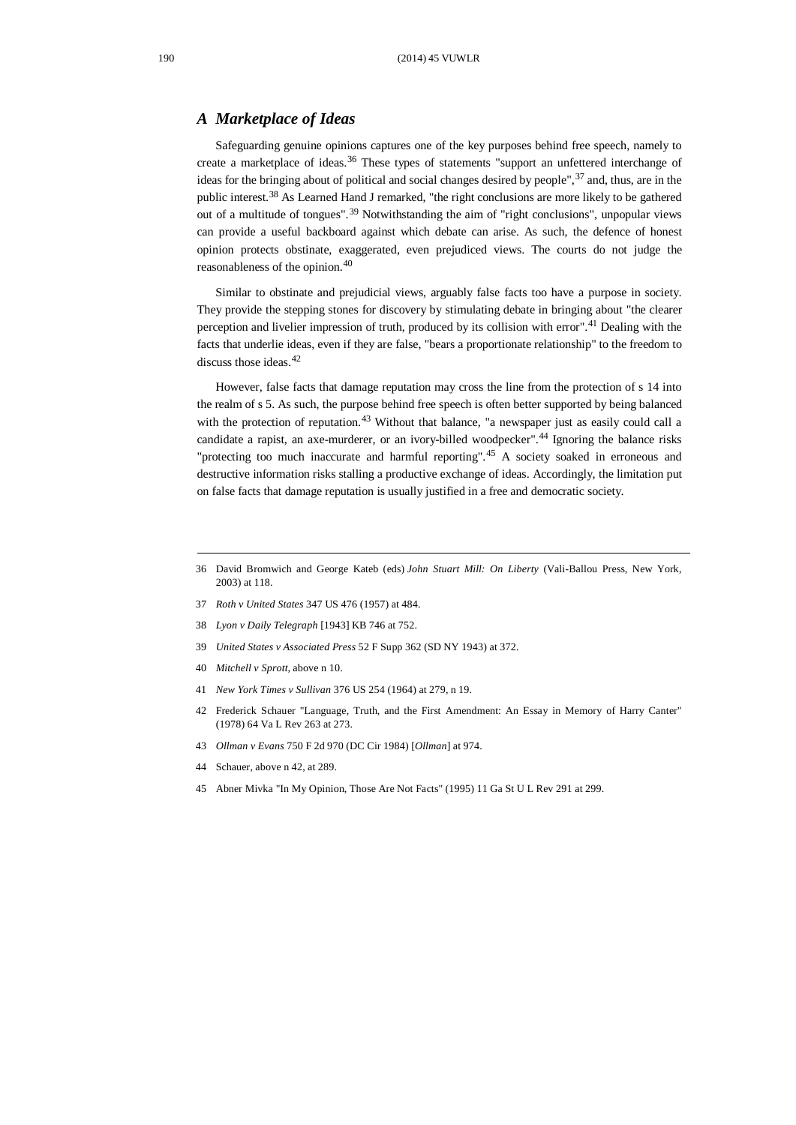## *A Marketplace of Ideas*

Safeguarding genuine opinions captures one of the key purposes behind free speech, namely to create a marketplace of ideas.<sup>[36](#page-5-0)</sup> These types of statements "support an unfettered interchange of ideas for the bringing about of political and social changes desired by people", <sup>[37](#page-5-1)</sup> and, thus, are in the public interest.[38](#page-5-2) As Learned Hand J remarked, "the right conclusions are more likely to be gathered out of a multitude of tongues".<sup>[39](#page-5-3)</sup> Notwithstanding the aim of "right conclusions", unpopular views can provide a useful backboard against which debate can arise. As such, the defence of honest opinion protects obstinate, exaggerated, even prejudiced views. The courts do not judge the reasonableness of the opinion.[40](#page-5-4)

Similar to obstinate and prejudicial views, arguably false facts too have a purpose in society. They provide the stepping stones for discovery by stimulating debate in bringing about "the clearer perception and livelier impression of truth, produced by its collision with error".<sup>[41](#page-5-5)</sup> Dealing with the facts that underlie ideas, even if they are false, "bears a proportionate relationship" to the freedom to discuss those ideas.<sup>[42](#page-5-6)</sup>

However, false facts that damage reputation may cross the line from the protection of s 14 into the realm of s 5. As such, the purpose behind free speech is often better supported by being balanced with the protection of reputation.<sup>[43](#page-5-7)</sup> Without that balance, "a newspaper just as easily could call a candidate a rapist, an axe-murderer, or an ivory-billed woodpecker".<sup>[44](#page-5-8)</sup> Ignoring the balance risks "protecting too much inaccurate and harmful reporting". [45](#page-5-9) A society soaked in erroneous and destructive information risks stalling a productive exchange of ideas. Accordingly, the limitation put on false facts that damage reputation is usually justified in a free and democratic society.

- <span id="page-5-1"></span>37 *Roth v United States* 347 US 476 (1957) at 484.
- <span id="page-5-2"></span>38 *Lyon v Daily Telegraph* [1943] KB 746 at 752.
- <span id="page-5-3"></span>39 *United States v Associated Press* 52 F Supp 362 (SD NY 1943) at 372.
- <span id="page-5-4"></span>40 *Mitchell v Sprott*, above n 10.
- <span id="page-5-5"></span>41 *New York Times v Sullivan* 376 US 254 (1964) at 279, n 19.
- <span id="page-5-6"></span>42 Frederick Schauer "Language, Truth, and the First Amendment: An Essay in Memory of Harry Canter" (1978) 64 Va L Rev 263 at 273.
- <span id="page-5-7"></span>43 *Ollman v Evans* 750 F 2d 970 (DC Cir 1984) [*Ollman*] at 974.
- <span id="page-5-8"></span>44 Schauer, above n 42, at 289.
- <span id="page-5-9"></span>45 Abner Mivka "In My Opinion, Those Are Not Facts" (1995) 11 Ga St U L Rev 291 at 299.

<span id="page-5-0"></span><sup>36</sup> David Bromwich and George Kateb (eds) *John Stuart Mill: On Liberty* (Vali-Ballou Press, New York, 2003) at 118.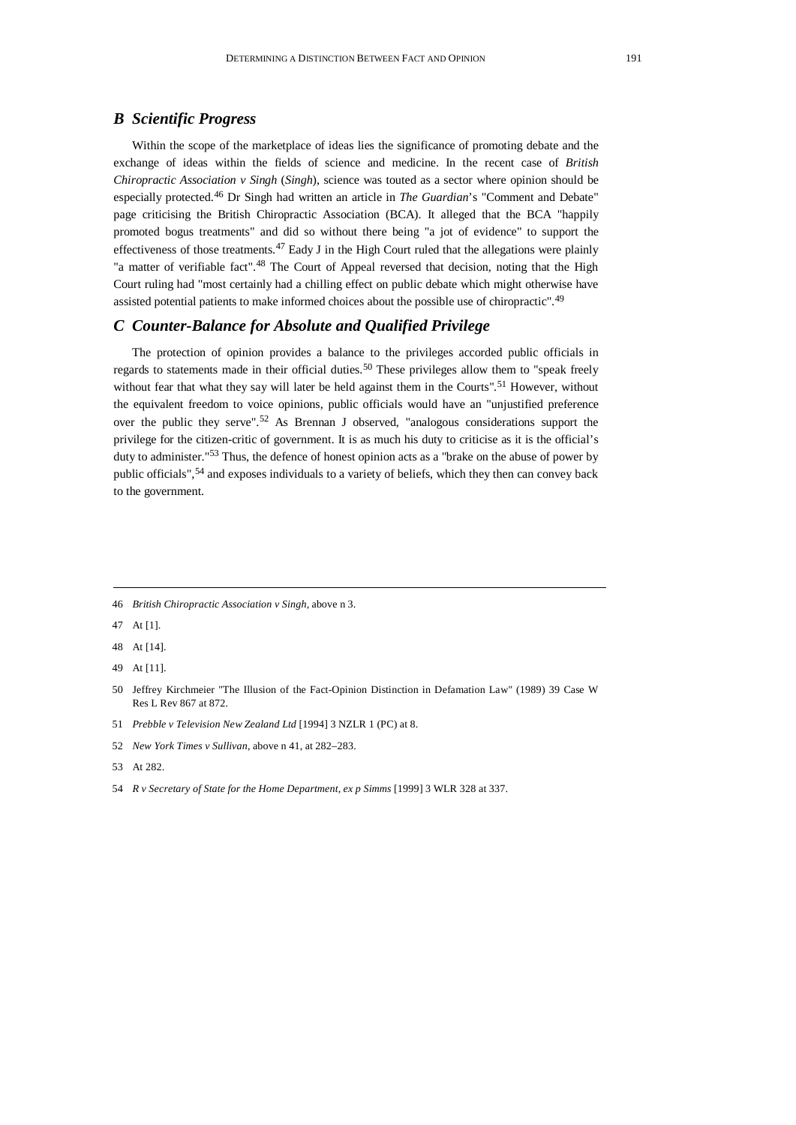## *B Scientific Progress*

Within the scope of the marketplace of ideas lies the significance of promoting debate and the exchange of ideas within the fields of science and medicine. In the recent case of *British Chiropractic Association v Singh* (*Singh*), science was touted as a sector where opinion should be especially protected.[46](#page-6-0) Dr Singh had written an article in *The Guardian*'s "Comment and Debate" page criticising the British Chiropractic Association (BCA). It alleged that the BCA "happily promoted bogus treatments" and did so without there being "a jot of evidence" to support the effectiveness of those treatments.<sup>[47](#page-6-1)</sup> Eady J in the High Court ruled that the allegations were plainly "a matter of verifiable fact".<sup>[48](#page-6-2)</sup> The Court of Appeal reversed that decision, noting that the High Court ruling had "most certainly had a chilling effect on public debate which might otherwise have assisted potential patients to make informed choices about the possible use of chiropractic".<sup>[49](#page-6-3)</sup>

## *C Counter-Balance for Absolute and Qualified Privilege*

The protection of opinion provides a balance to the privileges accorded public officials in regards to statements made in their official duties.<sup>[50](#page-6-4)</sup> These privileges allow them to "speak freely without fear that what they say will later be held against them in the Courts".<sup>[51](#page-6-5)</sup> However, without the equivalent freedom to voice opinions, public officials would have an "unjustified preference over the public they serve". [52](#page-6-6) As Brennan J observed, "analogous considerations support the privilege for the citizen-critic of government. It is as much his duty to criticise as it is the official's duty to administer."<sup>[53](#page-6-7)</sup> Thus, the defence of honest opinion acts as a "brake on the abuse of power by public officials",<sup>[54](#page-6-8)</sup> and exposes individuals to a variety of beliefs, which they then can convey back to the government.

<span id="page-6-0"></span><sup>46</sup> *British Chiropractic Association v Singh*, above n 3.

<span id="page-6-1"></span><sup>47</sup> At [1].

<span id="page-6-2"></span><sup>48</sup> At [14].

<span id="page-6-3"></span><sup>49</sup> At [11].

<span id="page-6-4"></span><sup>50</sup> Jeffrey Kirchmeier "The Illusion of the Fact-Opinion Distinction in Defamation Law" (1989) 39 Case W Res L Rev 867 at 872.

<span id="page-6-5"></span><sup>51</sup> *Prebble v Television New Zealand Ltd* [1994] 3 NZLR 1 (PC) at 8.

<span id="page-6-6"></span><sup>52</sup> *New York Times v Sullivan*, above n 41, at 282–283.

<span id="page-6-7"></span><sup>53</sup> At 282.

<span id="page-6-8"></span><sup>54</sup> *R v Secretary of State for the Home Department, ex p Simms* [1999] 3 WLR 328 at 337.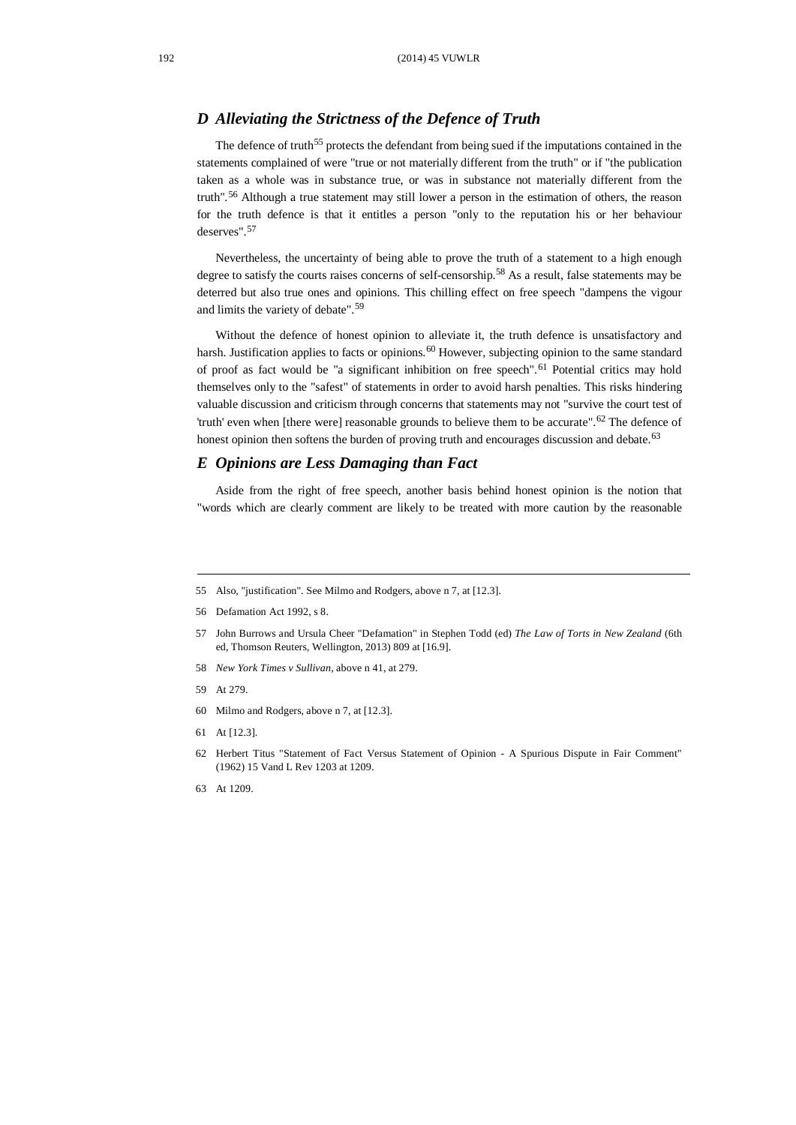## *D Alleviating the Strictness of the Defence of Truth*

The defence of truth<sup>[55](#page-7-0)</sup> protects the defendant from being sued if the imputations contained in the statements complained of were "true or not materially different from the truth" or if "the publication taken as a whole was in substance true, or was in substance not materially different from the truth". [56](#page-7-1) Although a true statement may still lower a person in the estimation of others, the reason for the truth defence is that it entitles a person "only to the reputation his or her behaviour deserves". [57](#page-7-2)

Nevertheless, the uncertainty of being able to prove the truth of a statement to a high enough degree to satisfy the courts raises concerns of self-censorship.[58](#page-7-3) As a result, false statements may be deterred but also true ones and opinions. This chilling effect on free speech "dampens the vigour and limits the variety of debate".[59](#page-7-4)

Without the defence of honest opinion to alleviate it, the truth defence is unsatisfactory and harsh. Justification applies to facts or opinions.<sup>[60](#page-7-5)</sup> However, subjecting opinion to the same standard of proof as fact would be "a significant inhibition on free speech". [61](#page-7-6) Potential critics may hold themselves only to the "safest" of statements in order to avoid harsh penalties. This risks hindering valuable discussion and criticism through concerns that statements may not "survive the court test of 'truth' even when [there were] reasonable grounds to believe them to be accurate".<sup>[62](#page-7-7)</sup> The defence of honest opinion then softens the burden of proving truth and encourages discussion and debate.<sup>[63](#page-7-8)</sup>

#### *E Opinions are Less Damaging than Fact*

Aside from the right of free speech, another basis behind honest opinion is the notion that "words which are clearly comment are likely to be treated with more caution by the reasonable

- <span id="page-7-3"></span>58 *New York Times v Sullivan*, above n 41, at 279.
- <span id="page-7-4"></span>59 At 279.
- <span id="page-7-5"></span>60 Milmo and Rodgers, above n 7, at [12.3].
- <span id="page-7-6"></span>61 At [12.3].
- <span id="page-7-7"></span>62 Herbert Titus "Statement of Fact Versus Statement of Opinion - A Spurious Dispute in Fair Comment" (1962) 15 Vand L Rev 1203 at 1209.
- <span id="page-7-8"></span>63 At 1209.

<span id="page-7-0"></span><sup>55</sup> Also, "justification". See Milmo and Rodgers, above n 7, at [12.3].

<span id="page-7-1"></span><sup>56</sup> Defamation Act 1992, s 8.

<span id="page-7-2"></span><sup>57</sup> John Burrows and Ursula Cheer "Defamation" in Stephen Todd (ed) *The Law of Torts in New Zealand* (6th ed, Thomson Reuters, Wellington, 2013) 809 at [16.9].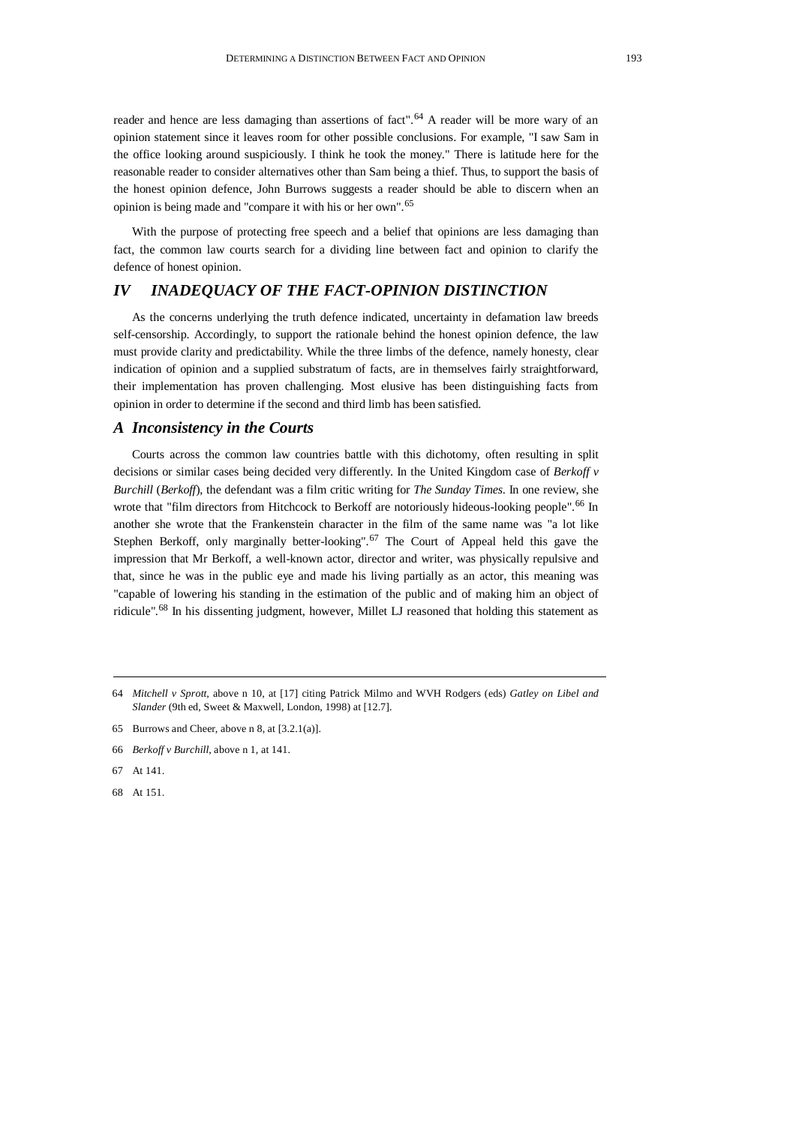reader and hence are less damaging than assertions of fact". [64](#page-8-0) A reader will be more wary of an opinion statement since it leaves room for other possible conclusions. For example, "I saw Sam in the office looking around suspiciously. I think he took the money." There is latitude here for the reasonable reader to consider alternatives other than Sam being a thief. Thus, to support the basis of the honest opinion defence, John Burrows suggests a reader should be able to discern when an opinion is being made and "compare it with his or her own". [65](#page-8-1)

With the purpose of protecting free speech and a belief that opinions are less damaging than fact, the common law courts search for a dividing line between fact and opinion to clarify the defence of honest opinion.

# *IV INADEQUACY OF THE FACT-OPINION DISTINCTION*

As the concerns underlying the truth defence indicated, uncertainty in defamation law breeds self-censorship. Accordingly, to support the rationale behind the honest opinion defence, the law must provide clarity and predictability. While the three limbs of the defence, namely honesty, clear indication of opinion and a supplied substratum of facts, are in themselves fairly straightforward, their implementation has proven challenging. Most elusive has been distinguishing facts from opinion in order to determine if the second and third limb has been satisfied.

#### *A Inconsistency in the Courts*

Courts across the common law countries battle with this dichotomy, often resulting in split decisions or similar cases being decided very differently. In the United Kingdom case of *Berkoff v Burchill* (*Berkoff*), the defendant was a film critic writing for *The Sunday Times*. In one review, she wrote that "film directors from Hitchcock to Berkoff are notoriously hideous-looking people".<sup>[66](#page-8-2)</sup> In another she wrote that the Frankenstein character in the film of the same name was "a lot like Stephen Berkoff, only marginally better-looking".<sup>[67](#page-8-3)</sup> The Court of Appeal held this gave the impression that Mr Berkoff, a well-known actor, director and writer, was physically repulsive and that, since he was in the public eye and made his living partially as an actor, this meaning was "capable of lowering his standing in the estimation of the public and of making him an object of ridicule".<sup>[68](#page-8-4)</sup> In his dissenting judgment, however, Millet LJ reasoned that holding this statement as

<span id="page-8-0"></span><sup>64</sup> *Mitchell v Sprott*, above n 10, at [17] citing Patrick Milmo and WVH Rodgers (eds) *Gatley on Libel and Slander* (9th ed, Sweet & Maxwell, London, 1998) at [12.7].

<span id="page-8-1"></span><sup>65</sup> Burrows and Cheer, above n 8, at [3.2.1(a)].

<span id="page-8-2"></span><sup>66</sup> *Berkoff v Burchill*, above n 1, at 141.

<span id="page-8-3"></span><sup>67</sup> At 141.

<span id="page-8-4"></span><sup>68</sup> At 151.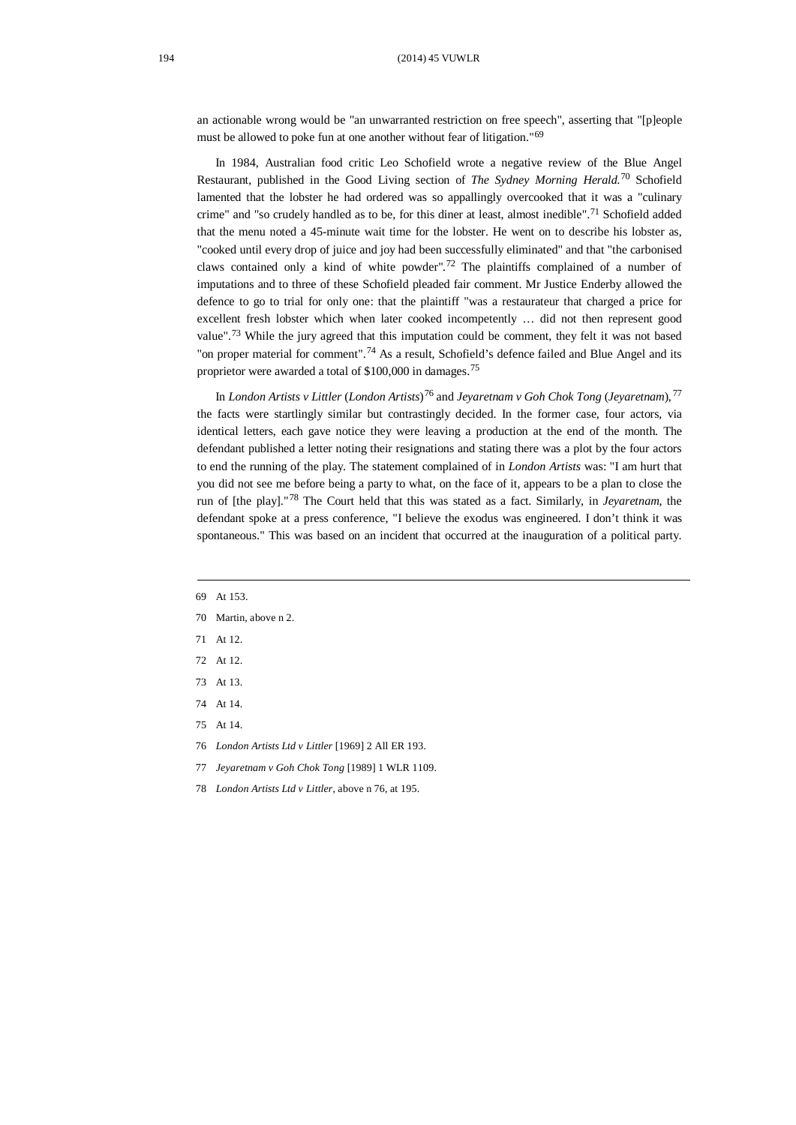an actionable wrong would be "an unwarranted restriction on free speech", asserting that "[p]eople must be allowed to poke fun at one another without fear of litigation."[69](#page-9-0)

In 1984, Australian food critic Leo Schofield wrote a negative review of the Blue Angel Restaurant, published in the Good Living section of *The Sydney Morning Herald*. [70](#page-9-1) Schofield lamented that the lobster he had ordered was so appallingly overcooked that it was a "culinary crime" and "so crudely handled as to be, for this diner at least, almost inedible".<sup>[71](#page-9-2)</sup> Schofield added that the menu noted a 45-minute wait time for the lobster. He went on to describe his lobster as, "cooked until every drop of juice and joy had been successfully eliminated" and that "the carbonised claws contained only a kind of white powder". [72](#page-9-3) The plaintiffs complained of a number of imputations and to three of these Schofield pleaded fair comment. Mr Justice Enderby allowed the defence to go to trial for only one: that the plaintiff "was a restaurateur that charged a price for excellent fresh lobster which when later cooked incompetently … did not then represent good value".<sup>[73](#page-9-4)</sup> While the jury agreed that this imputation could be comment, they felt it was not based "on proper material for comment".<sup>[74](#page-9-5)</sup> As a result, Schofield's defence failed and Blue Angel and its proprietor were awarded a total of \$100,000 in damages.[75](#page-9-6)

In *London Artists v Littler* (*London Artists*)[76](#page-9-7) and *Jeyaretnam v Goh Chok Tong* (*Jeyaretnam*), [77](#page-9-8) the facts were startlingly similar but contrastingly decided. In the former case, four actors, via identical letters, each gave notice they were leaving a production at the end of the month. The defendant published a letter noting their resignations and stating there was a plot by the four actors to end the running of the play. The statement complained of in *London Artists* was: "I am hurt that you did not see me before being a party to what, on the face of it, appears to be a plan to close the run of [the play]."[78](#page-9-9) The Court held that this was stated as a fact. Similarly, in *Jeyaretnam*, the defendant spoke at a press conference, "I believe the exodus was engineered. I don't think it was spontaneous." This was based on an incident that occurred at the inauguration of a political party.

- <span id="page-9-0"></span>69 At 153.
- <span id="page-9-1"></span>70 Martin, above n 2.
- <span id="page-9-2"></span>71 At 12.
- <span id="page-9-3"></span>72 At 12.
- <span id="page-9-4"></span>73 At 13.
- <span id="page-9-5"></span>74 At 14.
- <span id="page-9-6"></span>75 At 14.
- <span id="page-9-7"></span>76 *London Artists Ltd v Littler* [1969] 2 All ER 193.
- <span id="page-9-8"></span>77 *Jeyaretnam v Goh Chok Tong* [1989] 1 WLR 1109.
- <span id="page-9-9"></span>78 *London Artists Ltd v Littler*, above n 76, at 195.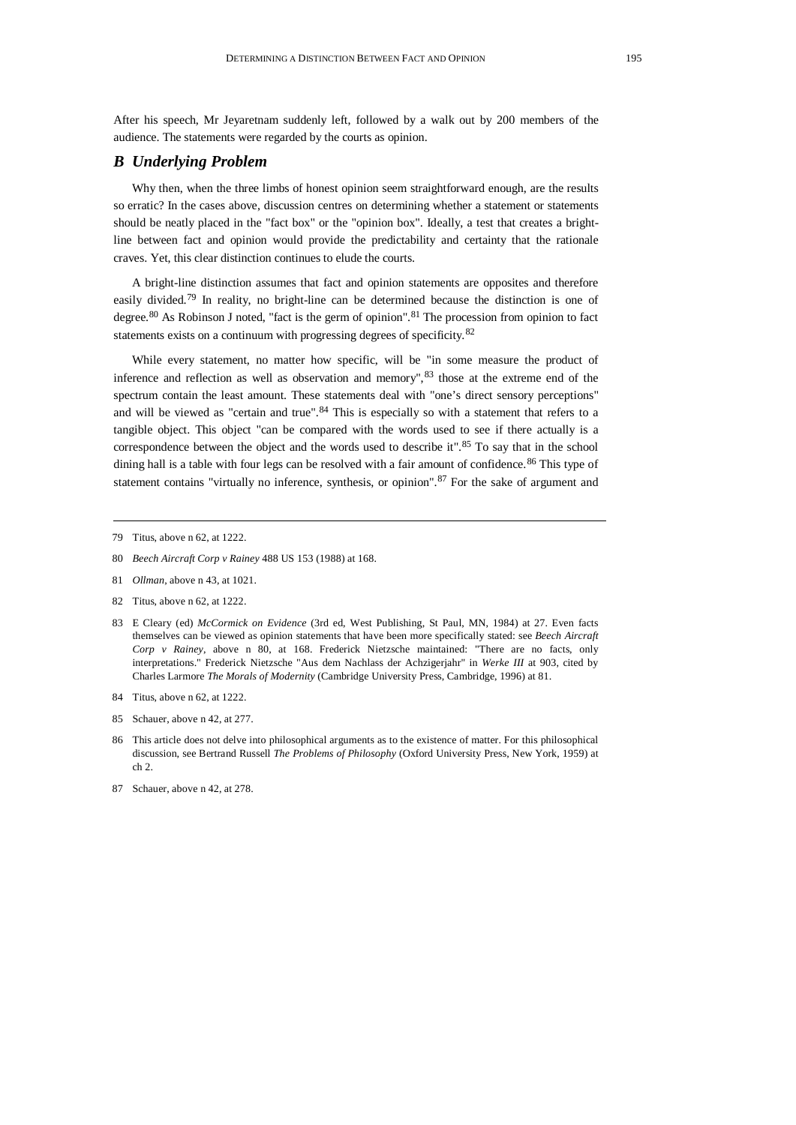After his speech, Mr Jeyaretnam suddenly left, followed by a walk out by 200 members of the audience. The statements were regarded by the courts as opinion.

#### *B Underlying Problem*

Why then, when the three limbs of honest opinion seem straightforward enough, are the results so erratic? In the cases above, discussion centres on determining whether a statement or statements should be neatly placed in the "fact box" or the "opinion box". Ideally, a test that creates a brightline between fact and opinion would provide the predictability and certainty that the rationale craves. Yet, this clear distinction continues to elude the courts.

A bright-line distinction assumes that fact and opinion statements are opposites and therefore easily divided.<sup>[79](#page-10-0)</sup> In reality, no bright-line can be determined because the distinction is one of degree.<sup>[80](#page-10-1)</sup> As Robinson J noted, "fact is the germ of opinion".<sup>[81](#page-10-2)</sup> The procession from opinion to fact statements exists on a continuum with progressing degrees of specificity.[82](#page-10-3)

While every statement, no matter how specific, will be "in some measure the product of inference and reflection as well as observation and memory", [83](#page-10-4) those at the extreme end of the spectrum contain the least amount. These statements deal with "one's direct sensory perceptions" and will be viewed as "certain and true". <sup>[84](#page-10-5)</sup> This is especially so with a statement that refers to a tangible object. This object "can be compared with the words used to see if there actually is a correspondence between the object and the words used to describe it".<sup>[85](#page-10-6)</sup> To say that in the school dining hall is a table with four legs can be resolved with a fair amount of confidence.<sup>[86](#page-10-7)</sup> This type of statement contains "virtually no inference, synthesis, or opinion".<sup>[87](#page-10-8)</sup> For the sake of argument and

- <span id="page-10-1"></span>80 *Beech Aircraft Corp v Rainey* 488 US 153 (1988) at 168.
- <span id="page-10-2"></span>81 *Ollman*, above n 43, at 1021.
- <span id="page-10-3"></span>82 Titus, above n 62, at 1222.
- <span id="page-10-4"></span>83 E Cleary (ed) *McCormick on Evidence* (3rd ed, West Publishing, St Paul, MN, 1984) at 27. Even facts themselves can be viewed as opinion statements that have been more specifically stated: see *Beech Aircraft Corp v Rainey*, above n 80, at 168. Frederick Nietzsche maintained: "There are no facts, only interpretations." Frederick Nietzsche "Aus dem Nachlass der Achzigerjahr" in *Werke III* at 903, cited by Charles Larmore *The Morals of Modernity* (Cambridge University Press, Cambridge, 1996) at 81.
- <span id="page-10-5"></span>84 Titus, above n 62, at 1222.
- <span id="page-10-6"></span>85 Schauer, above n 42, at 277.
- <span id="page-10-7"></span>86 This article does not delve into philosophical arguments as to the existence of matter. For this philosophical discussion, see Bertrand Russell *The Problems of Philosophy* (Oxford University Press, New York, 1959) at ch 2.
- <span id="page-10-8"></span>87 Schauer, above n 42, at 278.

<span id="page-10-0"></span><sup>79</sup> Titus, above n 62, at 1222.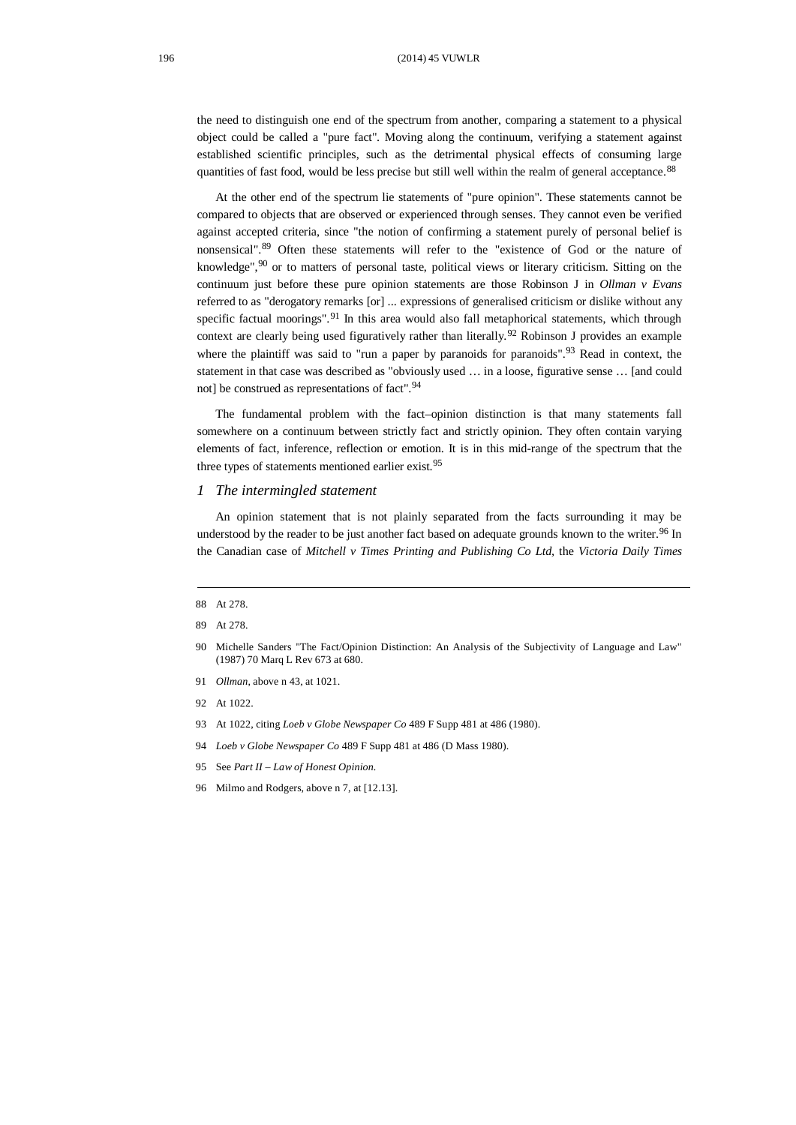the need to distinguish one end of the spectrum from another, comparing a statement to a physical object could be called a "pure fact". Moving along the continuum, verifying a statement against established scientific principles, such as the detrimental physical effects of consuming large quantities of fast food, would be less precise but still well within the realm of general acceptance. [88](#page-11-0)

At the other end of the spectrum lie statements of "pure opinion". These statements cannot be compared to objects that are observed or experienced through senses. They cannot even be verified against accepted criteria, since "the notion of confirming a statement purely of personal belief is nonsensical". [89](#page-11-1) Often these statements will refer to the "existence of God or the nature of knowledge",[90](#page-11-2) or to matters of personal taste, political views or literary criticism. Sitting on the continuum just before these pure opinion statements are those Robinson J in *Ollman v Evans* referred to as "derogatory remarks [or] ... expressions of generalised criticism or dislike without any specific factual moorings".<sup>[91](#page-11-3)</sup> In this area would also fall metaphorical statements, which through context are clearly being used figuratively rather than literally.<sup>[92](#page-11-4)</sup> Robinson J provides an example where the plaintiff was said to "run a paper by paranoids for paranoids".<sup>[93](#page-11-5)</sup> Read in context, the statement in that case was described as "obviously used … in a loose, figurative sense … [and could not] be construed as representations of fact".<sup>[94](#page-11-6)</sup>

The fundamental problem with the fact–opinion distinction is that many statements fall somewhere on a continuum between strictly fact and strictly opinion. They often contain varying elements of fact, inference, reflection or emotion. It is in this mid-range of the spectrum that the three types of statements mentioned earlier exist.<sup>[95](#page-11-7)</sup>

#### *1 The intermingled statement*

An opinion statement that is not plainly separated from the facts surrounding it may be understood by the reader to be just another fact based on adequate grounds known to the writer.<sup>[96](#page-11-8)</sup> In the Canadian case of *Mitchell v Times Printing and Publishing Co Ltd,* the *Victoria Daily Times*

- <span id="page-11-2"></span>90 Michelle Sanders "The Fact/Opinion Distinction: An Analysis of the Subjectivity of Language and Law" (1987) 70 Marq L Rev 673 at 680.
- <span id="page-11-3"></span>91 *Ollman*, above n 43, at 1021.
- <span id="page-11-4"></span>92 At 1022.
- <span id="page-11-5"></span>93 At 1022, citing *Loeb v Globe Newspaper Co* 489 F Supp 481 at 486 (1980).
- <span id="page-11-6"></span>94 *Loeb v Globe Newspaper Co* 489 F Supp 481 at 486 (D Mass 1980).
- <span id="page-11-7"></span>95 See *Part II – Law of Honest Opinion.*
- <span id="page-11-8"></span>96 Milmo and Rodgers, above n 7, at [12.13].

<span id="page-11-0"></span><sup>88</sup> At 278.

<span id="page-11-1"></span><sup>89</sup> At 278.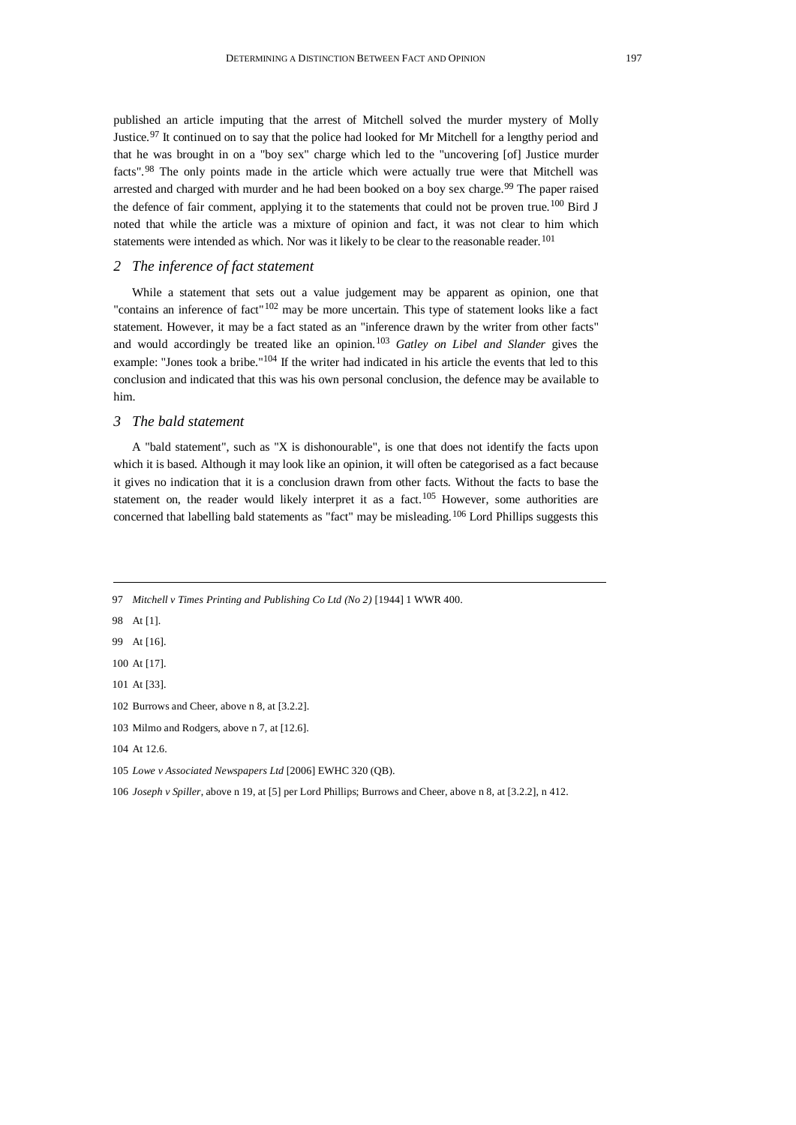published an article imputing that the arrest of Mitchell solved the murder mystery of Molly Justice.<sup>[97](#page-12-0)</sup> It continued on to say that the police had looked for Mr Mitchell for a lengthy period and that he was brought in on a "boy sex" charge which led to the "uncovering [of] Justice murder facts".<sup>[98](#page-12-1)</sup> The only points made in the article which were actually true were that Mitchell was arrested and charged with murder and he had been booked on a boy sex charge.<sup>[99](#page-12-2)</sup> The paper raised the defence of fair comment, applying it to the statements that could not be proven true.<sup>[100](#page-12-3)</sup> Bird J noted that while the article was a mixture of opinion and fact, it was not clear to him which statements were intended as which. Nor was it likely to be clear to the reasonable reader.<sup>[101](#page-12-4)</sup>

#### *2 The inference of fact statement*

While a statement that sets out a value judgement may be apparent as opinion, one that "contains an inference of fact" $102$  may be more uncertain. This type of statement looks like a fact statement. However, it may be a fact stated as an "inference drawn by the writer from other facts" and would accordingly be treated like an opinion.[103](#page-12-6) *Gatley on Libel and Slander* gives the example: "Jones took a bribe."[104](#page-12-7) If the writer had indicated in his article the events that led to this conclusion and indicated that this was his own personal conclusion, the defence may be available to him.

#### *3 The bald statement*

A "bald statement", such as "X is dishonourable", is one that does not identify the facts upon which it is based. Although it may look like an opinion, it will often be categorised as a fact because it gives no indication that it is a conclusion drawn from other facts. Without the facts to base the statement on, the reader would likely interpret it as a fact.<sup>[105](#page-12-8)</sup> However, some authorities are concerned that labelling bald statements as "fact" may be misleading.<sup>[106](#page-12-9)</sup> Lord Phillips suggests this

<span id="page-12-0"></span>97 *Mitchell v Times Printing and Publishing Co Ltd (No 2)* [1944] 1 WWR 400.

- <span id="page-12-1"></span>98 At [1].
- <span id="page-12-2"></span>99 At [16].

<span id="page-12-3"></span>100 At [17].

<span id="page-12-4"></span>101 At [33].

<span id="page-12-9"></span>106 *Joseph v Spiller*, above n 19, at [5] per Lord Phillips; Burrows and Cheer, above n 8, at [3.2.2], n 412.

<span id="page-12-5"></span><sup>102</sup> Burrows and Cheer, above n 8, at [3.2.2].

<span id="page-12-6"></span><sup>103</sup> Milmo and Rodgers, above n 7, at [12.6].

<span id="page-12-7"></span><sup>104</sup> At 12.6.

<span id="page-12-8"></span><sup>105</sup> *Lowe v Associated Newspapers Ltd* [2006] EWHC 320 (QB).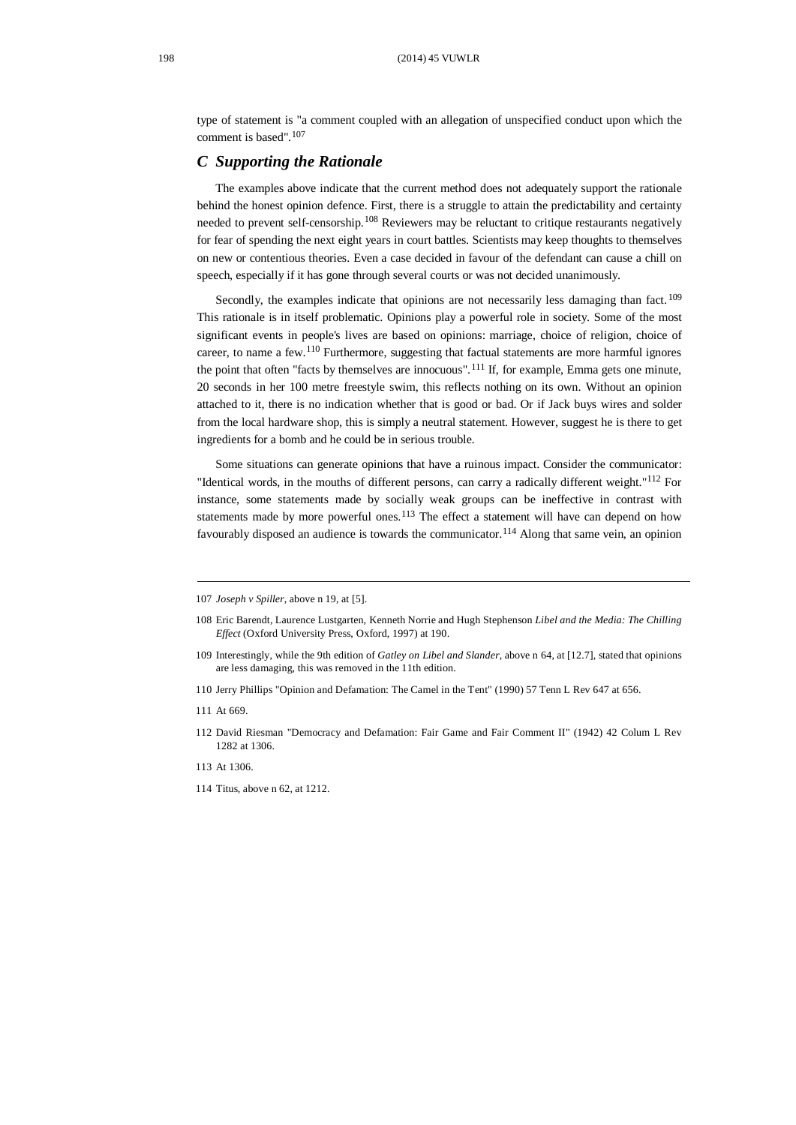type of statement is "a comment coupled with an allegation of unspecified conduct upon which the comment is based". [107](#page-13-0)

## *C Supporting the Rationale*

The examples above indicate that the current method does not adequately support the rationale behind the honest opinion defence. First, there is a struggle to attain the predictability and certainty needed to prevent self-censorship.<sup>[108](#page-13-1)</sup> Reviewers may be reluctant to critique restaurants negatively for fear of spending the next eight years in court battles. Scientists may keep thoughts to themselves on new or contentious theories. Even a case decided in favour of the defendant can cause a chill on speech, especially if it has gone through several courts or was not decided unanimously.

Secondly, the examples indicate that opinions are not necessarily less damaging than fact. [109](#page-13-2) This rationale is in itself problematic. Opinions play a powerful role in society. Some of the most significant events in people's lives are based on opinions: marriage, choice of religion, choice of career, to name a few.[110](#page-13-3) Furthermore, suggesting that factual statements are more harmful ignores the point that often "facts by themselves are innocuous".<sup>[111](#page-13-4)</sup> If, for example, Emma gets one minute, 20 seconds in her 100 metre freestyle swim, this reflects nothing on its own. Without an opinion attached to it, there is no indication whether that is good or bad. Or if Jack buys wires and solder from the local hardware shop, this is simply a neutral statement. However, suggest he is there to get ingredients for a bomb and he could be in serious trouble.

Some situations can generate opinions that have a ruinous impact. Consider the communicator: "Identical words, in the mouths of different persons, can carry a radically different weight."[112](#page-13-5) For instance, some statements made by socially weak groups can be ineffective in contrast with statements made by more powerful ones. $113$  The effect a statement will have can depend on how favourably disposed an audience is towards the communicator.<sup>[114](#page-13-7)</sup> Along that same vein, an opinion

<span id="page-13-0"></span><sup>107</sup> *Joseph v Spiller*, above n 19, at [5].

<span id="page-13-1"></span><sup>108</sup> Eric Barendt, Laurence Lustgarten, Kenneth Norrie and Hugh Stephenson *Libel and the Media: The Chilling Effect* (Oxford University Press, Oxford, 1997) at 190.

<span id="page-13-2"></span><sup>109</sup> Interestingly, while the 9th edition of *Gatley on Libel and Slander*, above n 64, at [12.7], stated that opinions are less damaging, this was removed in the 11th edition.

<span id="page-13-3"></span><sup>110</sup> Jerry Phillips "Opinion and Defamation: The Camel in the Tent" (1990) 57 Tenn L Rev 647 at 656.

<span id="page-13-4"></span><sup>111</sup> At 669.

<span id="page-13-5"></span><sup>112</sup> David Riesman "Democracy and Defamation: Fair Game and Fair Comment II" (1942) 42 Colum L Rev 1282 at 1306.

<span id="page-13-6"></span><sup>113</sup> At 1306.

<span id="page-13-7"></span><sup>114</sup> Titus, above n 62, at 1212.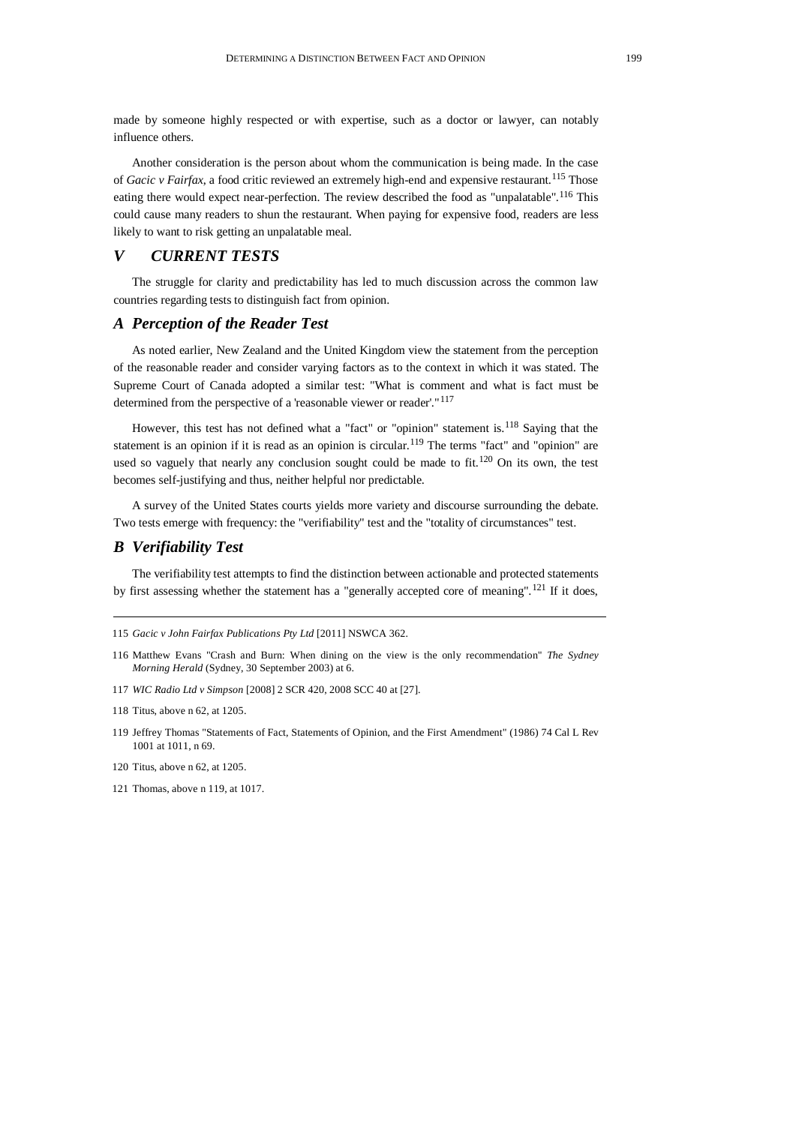made by someone highly respected or with expertise, such as a doctor or lawyer, can notably influence others.

Another consideration is the person about whom the communication is being made. In the case of *Gacic v Fairfax*, a food critic reviewed an extremely high-end and expensive restaurant.[115](#page-14-0) Those eating there would expect near-perfection. The review described the food as "unpalatable".<sup>[116](#page-14-1)</sup> This could cause many readers to shun the restaurant. When paying for expensive food, readers are less likely to want to risk getting an unpalatable meal.

# *V CURRENT TESTS*

The struggle for clarity and predictability has led to much discussion across the common law countries regarding tests to distinguish fact from opinion.

## *A Perception of the Reader Test*

As noted earlier, New Zealand and the United Kingdom view the statement from the perception of the reasonable reader and consider varying factors as to the context in which it was stated. The Supreme Court of Canada adopted a similar test: "What is comment and what is fact must be determined from the perspective of a 'reasonable viewer or reader'."<sup>[117](#page-14-2)</sup>

However, this test has not defined what a "fact" or "opinion" statement is.<sup>[118](#page-14-3)</sup> Saying that the statement is an opinion if it is read as an opinion is circular.[119](#page-14-4) The terms "fact" and "opinion" are used so vaguely that nearly any conclusion sought could be made to fit.<sup>[120](#page-14-5)</sup> On its own, the test becomes self-justifying and thus, neither helpful nor predictable.

A survey of the United States courts yields more variety and discourse surrounding the debate. Two tests emerge with frequency: the "verifiability" test and the "totality of circumstances" test.

# *B Verifiability Test*

The verifiability test attempts to find the distinction between actionable and protected statements by first assessing whether the statement has a "generally accepted core of meaning".<sup>[121](#page-14-6)</sup> If it does,

<span id="page-14-2"></span>117 *WIC Radio Ltd v Simpson* [2008] 2 SCR 420, 2008 SCC 40 at [27].

<span id="page-14-4"></span>119 Jeffrey Thomas "Statements of Fact, Statements of Opinion, and the First Amendment" (1986) 74 Cal L Rev 1001 at 1011, n 69.

<span id="page-14-0"></span><sup>115</sup> *Gacic v John Fairfax Publications Pty Ltd* [2011] NSWCA 362.

<span id="page-14-1"></span><sup>116</sup> Matthew Evans "Crash and Burn: When dining on the view is the only recommendation" *The Sydney Morning Herald* (Sydney, 30 September 2003) at 6.

<span id="page-14-3"></span><sup>118</sup> Titus, above n 62, at 1205.

<span id="page-14-5"></span><sup>120</sup> Titus, above n 62, at 1205.

<span id="page-14-6"></span><sup>121</sup> Thomas, above n 119, at 1017.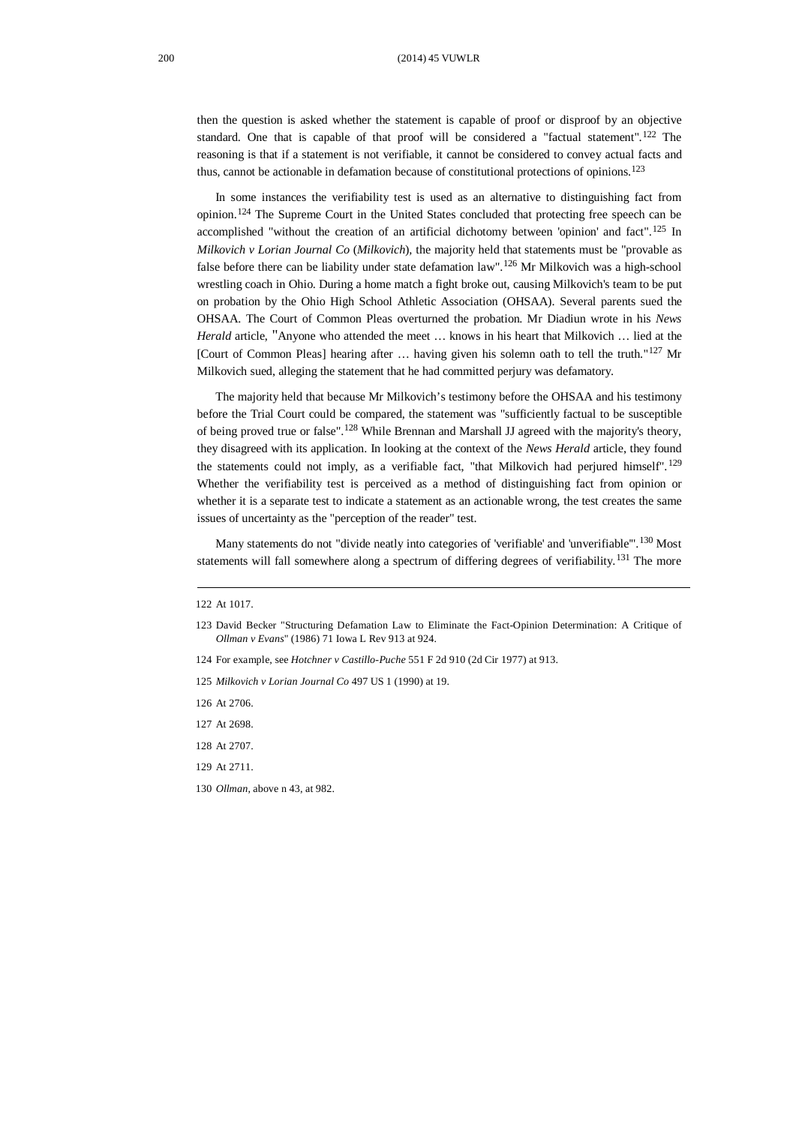then the question is asked whether the statement is capable of proof or disproof by an objective standard. One that is capable of that proof will be considered a "factual statement".<sup>[122](#page-15-0)</sup> The reasoning is that if a statement is not verifiable, it cannot be considered to convey actual facts and thus, cannot be actionable in defamation because of constitutional protections of opinions. [123](#page-15-1)

In some instances the verifiability test is used as an alternative to distinguishing fact from opinion.[124](#page-15-2) The Supreme Court in the United States concluded that protecting free speech can be accomplished "without the creation of an artificial dichotomy between 'opinion' and fact".<sup>[125](#page-15-3)</sup> In *Milkovich v Lorian Journal Co* (*Milkovich*)*,* the majority held that statements must be "provable as false before there can be liability under state defamation law".<sup>[126](#page-15-4)</sup> Mr Milkovich was a high-school wrestling coach in Ohio. During a home match a fight broke out, causing Milkovich's team to be put on probation by the Ohio High School Athletic Association (OHSAA). Several parents sued the OHSAA. The Court of Common Pleas overturned the probation. Mr Diadiun wrote in his *News Herald* article, "Anyone who attended the meet … knows in his heart that Milkovich … lied at the [Court of Common Pleas] hearing after … having given his solemn oath to tell the truth."[127](#page-15-5) Mr Milkovich sued, alleging the statement that he had committed perjury was defamatory.

The majority held that because Mr Milkovich's testimony before the OHSAA and his testimony before the Trial Court could be compared, the statement was "sufficiently factual to be susceptible of being proved true or false".<sup>[128](#page-15-6)</sup> While Brennan and Marshall JJ agreed with the majority's theory, they disagreed with its application. In looking at the context of the *News Herald* article, they found the statements could not imply, as a verifiable fact, "that Milkovich had perjured himself".[129](#page-15-7) Whether the verifiability test is perceived as a method of distinguishing fact from opinion or whether it is a separate test to indicate a statement as an actionable wrong, the test creates the same issues of uncertainty as the "perception of the reader" test.

Many statements do not "divide neatly into categories of 'verifiable' and 'unverifiable". <sup>[130](#page-15-8)</sup> Most statements will fall somewhere along a spectrum of differing degrees of verifiability.<sup>[131](#page-15-9)</sup> The more

<span id="page-15-7"></span>129 At 2711.

<span id="page-15-0"></span><sup>122</sup> At 1017.

<span id="page-15-9"></span><span id="page-15-1"></span><sup>123</sup> David Becker "Structuring Defamation Law to Eliminate the Fact-Opinion Determination: A Critique of *Ollman v Evans*" (1986) 71 Iowa L Rev 913 at 924.

<span id="page-15-2"></span><sup>124</sup> For example, see *Hotchner v Castillo-Puche* 551 F 2d 910 (2d Cir 1977) at 913.

<span id="page-15-3"></span><sup>125</sup> *Milkovich v Lorian Journal Co* 497 US 1 (1990) at 19.

<span id="page-15-4"></span><sup>126</sup> At 2706.

<span id="page-15-5"></span><sup>127</sup> At 2698.

<span id="page-15-6"></span><sup>128</sup> At 2707.

<span id="page-15-8"></span><sup>130</sup> *Ollman*, above n 43, at 982.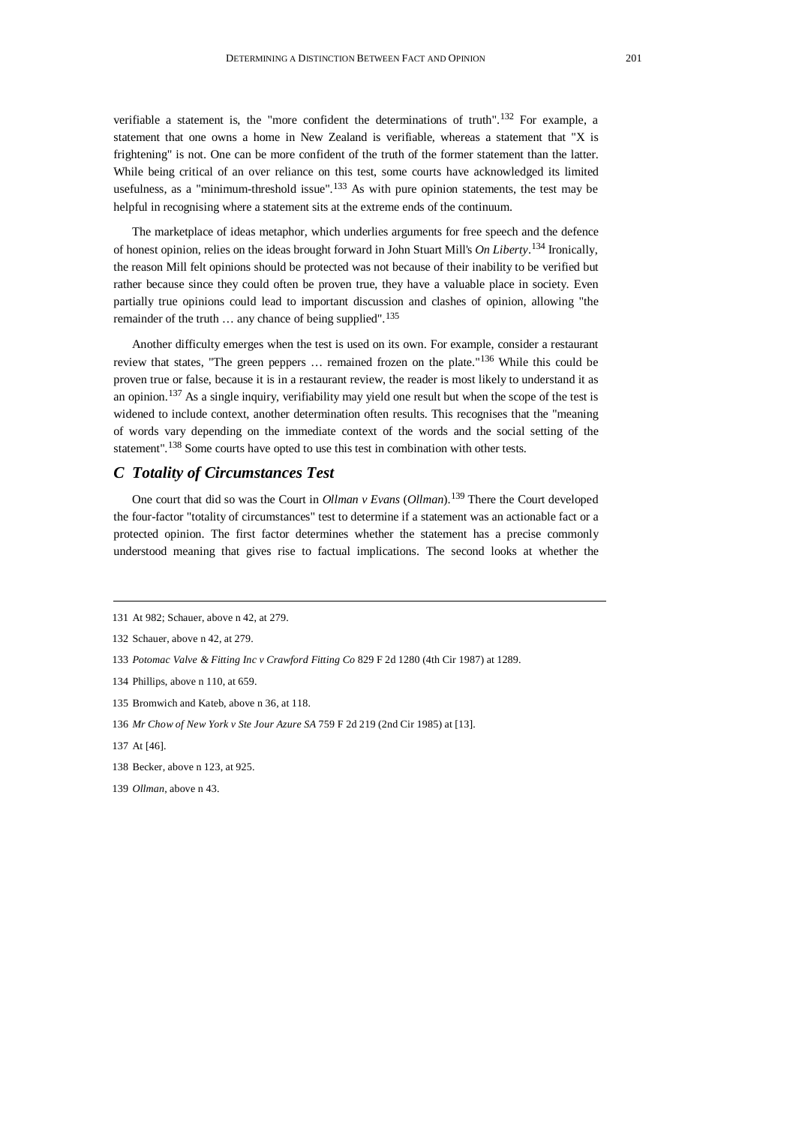verifiable a statement is, the "more confident the determinations of truth". [132](#page-16-0) For example, a statement that one owns a home in New Zealand is verifiable, whereas a statement that "X is frightening" is not. One can be more confident of the truth of the former statement than the latter. While being critical of an over reliance on this test, some courts have acknowledged its limited usefulness, as a "minimum-threshold issue".<sup>[133](#page-16-1)</sup> As with pure opinion statements, the test may be helpful in recognising where a statement sits at the extreme ends of the continuum.

The marketplace of ideas metaphor, which underlies arguments for free speech and the defence of honest opinion, relies on the ideas brought forward in John Stuart Mill's *On Liberty*. [134](#page-16-2) Ironically, the reason Mill felt opinions should be protected was not because of their inability to be verified but rather because since they could often be proven true, they have a valuable place in society. Even partially true opinions could lead to important discussion and clashes of opinion, allowing "the remainder of the truth ... any chance of being supplied".<sup>[135](#page-16-3)</sup>

Another difficulty emerges when the test is used on its own. For example, consider a restaurant review that states, "The green peppers … remained frozen on the plate."[136](#page-16-4) While this could be proven true or false, because it is in a restaurant review, the reader is most likely to understand it as an opinion.[137](#page-16-5) As a single inquiry, verifiability may yield one result but when the scope of the test is widened to include context, another determination often results. This recognises that the "meaning of words vary depending on the immediate context of the words and the social setting of the statement".<sup>[138](#page-16-6)</sup> Some courts have opted to use this test in combination with other tests.

#### *C Totality of Circumstances Test*

One court that did so was the Court in *Ollman v Evans* (*Ollman*). [139](#page-16-7) There the Court developed the four-factor "totality of circumstances" test to determine if a statement was an actionable fact or a protected opinion. The first factor determines whether the statement has a precise commonly understood meaning that gives rise to factual implications. The second looks at whether the

- <span id="page-16-2"></span>134 Phillips, above n 110, at 659.
- <span id="page-16-3"></span>135 Bromwich and Kateb, above n 36, at 118.
- <span id="page-16-4"></span>136 *Mr Chow of New York v Ste Jour Azure SA* 759 F 2d 219 (2nd Cir 1985) at [13].
- <span id="page-16-5"></span>137 At [46].
- <span id="page-16-6"></span>138 Becker, above n 123, at 925.
- <span id="page-16-7"></span>139 *Ollman*, above n 43.

<sup>131</sup> At 982; Schauer, above n 42, at 279.

<span id="page-16-0"></span><sup>132</sup> Schauer, above n 42, at 279.

<span id="page-16-1"></span><sup>133</sup> *Potomac Valve & Fitting Inc v Crawford Fitting Co* 829 F 2d 1280 (4th Cir 1987) at 1289.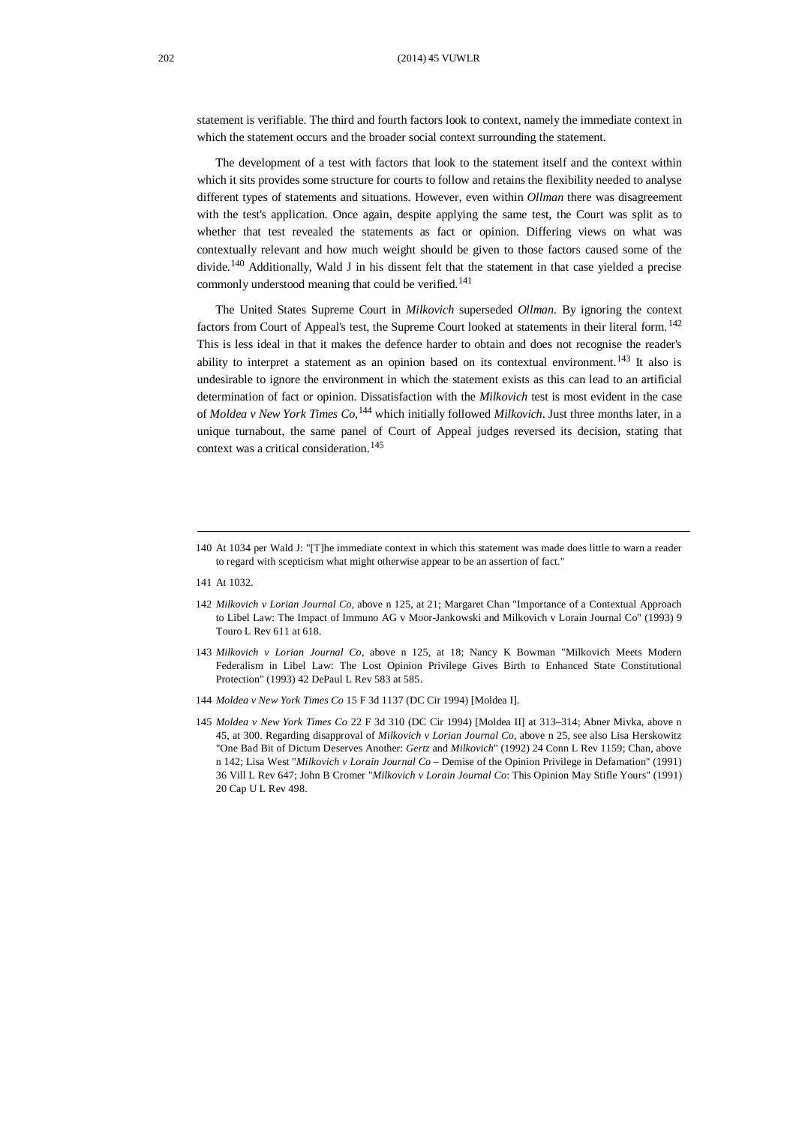statement is verifiable. The third and fourth factors look to context, namely the immediate context in which the statement occurs and the broader social context surrounding the statement.

The development of a test with factors that look to the statement itself and the context within which it sits provides some structure for courts to follow and retains the flexibility needed to analyse different types of statements and situations. However, even within *Ollman* there was disagreement with the test's application. Once again, despite applying the same test, the Court was split as to whether that test revealed the statements as fact or opinion. Differing views on what was contextually relevant and how much weight should be given to those factors caused some of the divide.<sup>[140](#page-17-0)</sup> Additionally, Wald J in his dissent felt that the statement in that case yielded a precise commonly understood meaning that could be verified.<sup>[141](#page-17-1)</sup>

The United States Supreme Court in *Milkovich* superseded *Ollman*. By ignoring the context factors from Court of Appeal's test, the Supreme Court looked at statements in their literal form.[142](#page-17-2) This is less ideal in that it makes the defence harder to obtain and does not recognise the reader's ability to interpret a statement as an opinion based on its contextual environment.<sup>[143](#page-17-3)</sup> It also is undesirable to ignore the environment in which the statement exists as this can lead to an artificial determination of fact or opinion. Dissatisfaction with the *Milkovich* test is most evident in the case of *Moldea v New York Times Co*, [144](#page-17-4) which initially followed *Milkovich*. Just three months later, in a unique turnabout, the same panel of Court of Appeal judges reversed its decision, stating that context was a critical consideration. [145](#page-17-5)

<span id="page-17-1"></span>141 At 1032.

- <span id="page-17-2"></span>142 *Milkovich v Lorian Journal Co*, above n 125, at 21; Margaret Chan "Importance of a Contextual Approach to Libel Law: The Impact of Immuno AG v Moor-Jankowski and Milkovich v Lorain Journal Co" (1993) 9 Touro L Rev 611 at 618.
- <span id="page-17-3"></span>143 *Milkovich v Lorian Journal Co*, above n 125, at 18; Nancy K Bowman "Milkovich Meets Modern Federalism in Libel Law: The Lost Opinion Privilege Gives Birth to Enhanced State Constitutional Protection" (1993) 42 DePaul L Rev 583 at 585.
- <span id="page-17-4"></span>144 *Moldea v New York Times Co* 15 F 3d 1137 (DC Cir 1994) [Moldea I].
- <span id="page-17-5"></span>145 *Moldea v New York Times Co* 22 F 3d 310 (DC Cir 1994) [Moldea II] at 313–314; Abner Mivka, above n 45, at 300. Regarding disapproval of *Milkovich v Lorian Journal Co*, above n 25, see also Lisa Herskowitz "One Bad Bit of Dictum Deserves Another: *Gertz* and *Milkovich*" (1992) 24 Conn L Rev 1159; Chan, above n 142; Lisa West "*Milkovich v Lorain Journal Co* – Demise of the Opinion Privilege in Defamation" (1991) 36 Vill L Rev 647; John B Cromer "*Milkovich v Lorain Journal Co*: This Opinion May Stifle Yours" (1991) 20 Cap U L Rev 498.

<span id="page-17-0"></span><sup>140</sup> At 1034 per Wald J: "[T]he immediate context in which this statement was made does little to warn a reader to regard with scepticism what might otherwise appear to be an assertion of fact."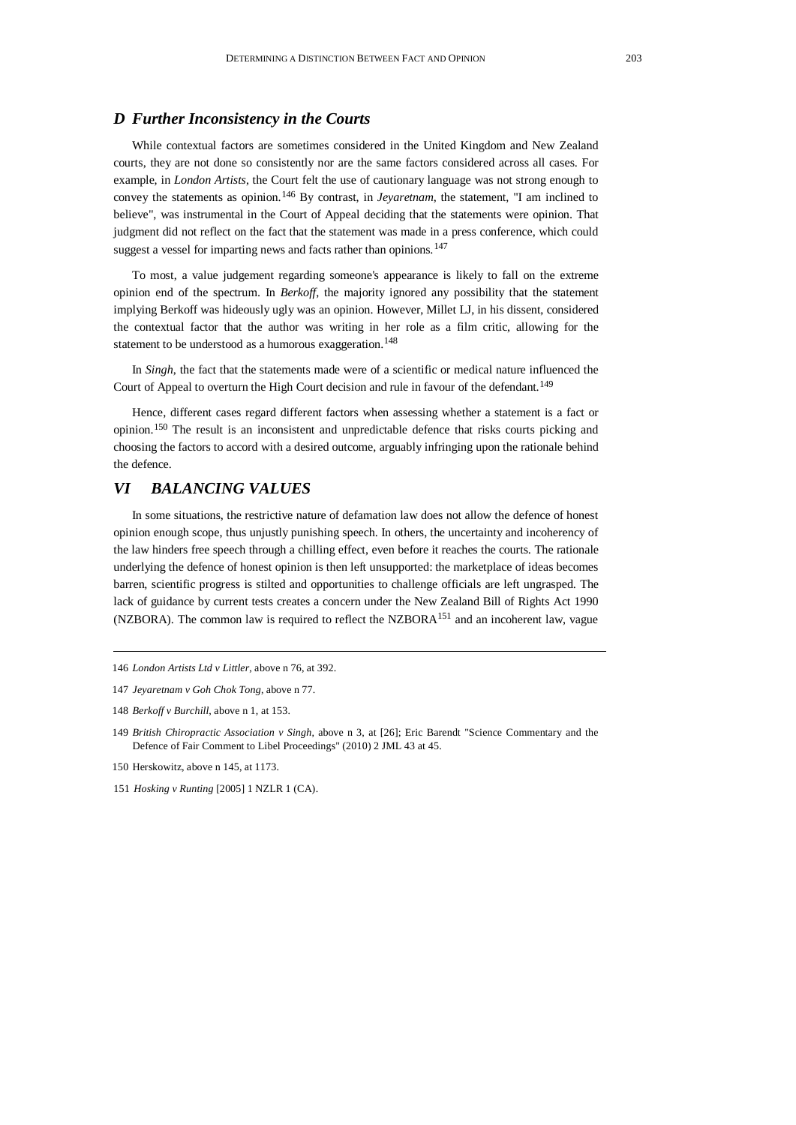## *D Further Inconsistency in the Courts*

While contextual factors are sometimes considered in the United Kingdom and New Zealand courts, they are not done so consistently nor are the same factors considered across all cases. For example, in *London Artists*, the Court felt the use of cautionary language was not strong enough to convey the statements as opinion.[146](#page-18-0) By contrast, in *Jeyaretnam*, the statement, "I am inclined to believe", was instrumental in the Court of Appeal deciding that the statements were opinion. That judgment did not reflect on the fact that the statement was made in a press conference, which could suggest a vessel for imparting news and facts rather than opinions.<sup>[147](#page-18-1)</sup>

To most, a value judgement regarding someone's appearance is likely to fall on the extreme opinion end of the spectrum. In *Berkoff*, the majority ignored any possibility that the statement implying Berkoff was hideously ugly was an opinion. However, Millet LJ, in his dissent, considered the contextual factor that the author was writing in her role as a film critic, allowing for the statement to be understood as a humorous exaggeration.<sup>[148](#page-18-2)</sup>

In *Singh*, the fact that the statements made were of a scientific or medical nature influenced the Court of Appeal to overturn the High Court decision and rule in favour of the defendant.<sup>[149](#page-18-3)</sup>

Hence, different cases regard different factors when assessing whether a statement is a fact or opinion.[150](#page-18-4) The result is an inconsistent and unpredictable defence that risks courts picking and choosing the factors to accord with a desired outcome, arguably infringing upon the rationale behind the defence.

## *VI BALANCING VALUES*

In some situations, the restrictive nature of defamation law does not allow the defence of honest opinion enough scope, thus unjustly punishing speech. In others, the uncertainty and incoherency of the law hinders free speech through a chilling effect, even before it reaches the courts. The rationale underlying the defence of honest opinion is then left unsupported: the marketplace of ideas becomes barren, scientific progress is stilted and opportunities to challenge officials are left ungrasped. The lack of guidance by current tests creates a concern under the New Zealand Bill of Rights Act 1990 (NZBORA). The common law is required to reflect the NZBOR $A<sup>151</sup>$  $A<sup>151</sup>$  $A<sup>151</sup>$  and an incoherent law, vague

<span id="page-18-0"></span><sup>146</sup> *London Artists Ltd v Littler*, above n 76, at 392.

<span id="page-18-1"></span><sup>147</sup> *Jeyaretnam v Goh Chok Tong*, above n 77.

<span id="page-18-2"></span><sup>148</sup> *Berkoff v Burchill*, above n 1, at 153.

<span id="page-18-3"></span><sup>149</sup> *British Chiropractic Association v Singh*, above n 3, at [26]; Eric Barendt "Science Commentary and the Defence of Fair Comment to Libel Proceedings" (2010) 2 JML 43 at 45.

<span id="page-18-4"></span><sup>150</sup> Herskowitz, above n 145, at 1173.

<span id="page-18-5"></span><sup>151</sup> *Hosking v Runting* [2005] 1 NZLR 1 (CA).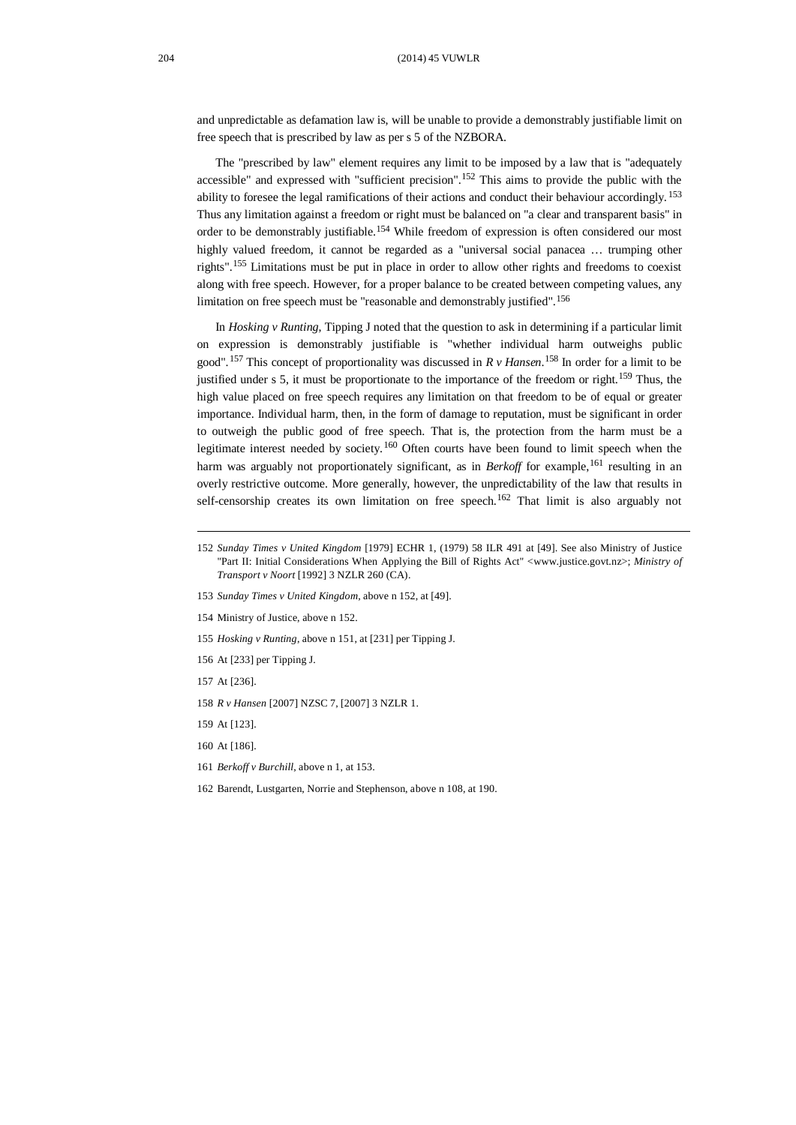and unpredictable as defamation law is, will be unable to provide a demonstrably justifiable limit on free speech that is prescribed by law as per s 5 of the NZBORA.

The "prescribed by law" element requires any limit to be imposed by a law that is "adequately accessible" and expressed with "sufficient precision".<sup>[152](#page-19-0)</sup> This aims to provide the public with the ability to foresee the legal ramifications of their actions and conduct their behaviour accordingly. [153](#page-19-1) Thus any limitation against a freedom or right must be balanced on "a clear and transparent basis" in order to be demonstrably justifiable. [154](#page-19-2) While freedom of expression is often considered our most highly valued freedom, it cannot be regarded as a "universal social panacea … trumping other rights". [155](#page-19-3) Limitations must be put in place in order to allow other rights and freedoms to coexist along with free speech. However, for a proper balance to be created between competing values, any limitation on free speech must be "reasonable and demonstrably justified". [156](#page-19-4)

In *Hosking v Runting*, Tipping J noted that the question to ask in determining if a particular limit on expression is demonstrably justifiable is "whether individual harm outweighs public good".[157](#page-19-5) This concept of proportionality was discussed in *R v Hansen*. [158](#page-19-6) In order for a limit to be justified under s 5, it must be proportionate to the importance of the freedom or right.<sup>[159](#page-19-7)</sup> Thus, the high value placed on free speech requires any limitation on that freedom to be of equal or greater importance. Individual harm, then, in the form of damage to reputation, must be significant in order to outweigh the public good of free speech. That is, the protection from the harm must be a legitimate interest needed by society.<sup>[160](#page-19-8)</sup> Often courts have been found to limit speech when the harm was arguably not proportionately significant, as in *Berkoff* for example,<sup>[161](#page-19-9)</sup> resulting in an overly restrictive outcome. More generally, however, the unpredictability of the law that results in self-censorship creates its own limitation on free speech.<sup>[162](#page-19-10)</sup> That limit is also arguably not

- <span id="page-19-1"></span>153 *Sunday Times v United Kingdom*, above n 152, at [49].
- <span id="page-19-2"></span>154 Ministry of Justice, above n 152.
- <span id="page-19-3"></span>155 *Hosking v Runting*, above n 151, at [231] per Tipping J.
- <span id="page-19-4"></span>156 At [233] per Tipping J.
- <span id="page-19-5"></span>157 At [236].
- <span id="page-19-6"></span>158 *R v Hansen* [2007] NZSC 7, [2007] 3 NZLR 1.
- <span id="page-19-7"></span>159 At [123].
- <span id="page-19-8"></span>160 At [186].
- <span id="page-19-9"></span>161 *Berkoff v Burchill*, above n 1, at 153.
- <span id="page-19-10"></span>162 Barendt, Lustgarten, Norrie and Stephenson, above n 108, at 190.

<span id="page-19-0"></span><sup>152</sup> *Sunday Times v United Kingdom* [1979] ECHR 1, (1979) 58 ILR 491 at [49]. See also Ministry of Justice "Part II: Initial Considerations When Applying the Bill of Rights Act" <www.justice.govt.nz>; *Ministry of Transport v Noort* [1992] 3 NZLR 260 (CA).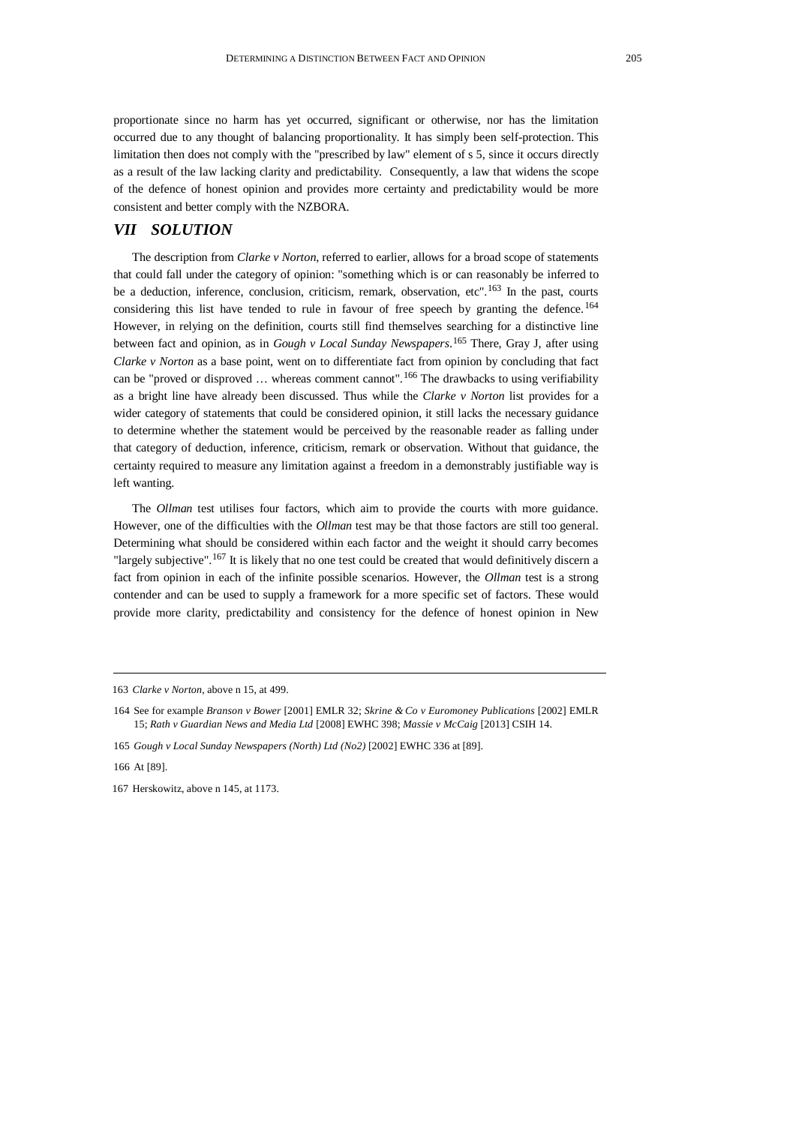proportionate since no harm has yet occurred, significant or otherwise, nor has the limitation occurred due to any thought of balancing proportionality. It has simply been self-protection. This limitation then does not comply with the "prescribed by law" element of s 5, since it occurs directly as a result of the law lacking clarity and predictability. Consequently, a law that widens the scope of the defence of honest opinion and provides more certainty and predictability would be more consistent and better comply with the NZBORA.

# *VII SOLUTION*

The description from *Clarke v Norton*, referred to earlier, allows for a broad scope of statements that could fall under the category of opinion: "something which is or can reasonably be inferred to be a deduction, inference, conclusion, criticism, remark, observation, etc".<sup>[163](#page-20-0)</sup> In the past, courts considering this list have tended to rule in favour of free speech by granting the defence.<sup>[164](#page-20-1)</sup> However, in relying on the definition, courts still find themselves searching for a distinctive line between fact and opinion, as in *Gough v Local Sunday Newspapers*. [165](#page-20-2) There, Gray J, after using *Clarke v Norton* as a base point, went on to differentiate fact from opinion by concluding that fact can be "proved or disproved ... whereas comment cannot". <sup>[166](#page-20-3)</sup> The drawbacks to using verifiability as a bright line have already been discussed. Thus while the *Clarke v Norton* list provides for a wider category of statements that could be considered opinion, it still lacks the necessary guidance to determine whether the statement would be perceived by the reasonable reader as falling under that category of deduction, inference, criticism, remark or observation. Without that guidance, the certainty required to measure any limitation against a freedom in a demonstrably justifiable way is left wanting.

The *Ollman* test utilises four factors, which aim to provide the courts with more guidance. However, one of the difficulties with the *Ollman* test may be that those factors are still too general. Determining what should be considered within each factor and the weight it should carry becomes "largely subjective". <sup>[167](#page-20-4)</sup> It is likely that no one test could be created that would definitively discern a fact from opinion in each of the infinite possible scenarios. However, the *Ollman* test is a strong contender and can be used to supply a framework for a more specific set of factors. These would provide more clarity, predictability and consistency for the defence of honest opinion in New

<span id="page-20-2"></span>165 *Gough v Local Sunday Newspapers (North) Ltd (No2)* [2002] EWHC 336 at [89].

<span id="page-20-3"></span>166 At [89].

<span id="page-20-4"></span>167 Herskowitz, above n 145, at 1173.

<span id="page-20-0"></span><sup>163</sup> *Clarke v Norton*, above n 15, at 499.

<span id="page-20-1"></span><sup>164</sup> See for example *Branson v Bower* [2001] EMLR 32; *Skrine & Co v Euromoney Publications* [2002] EMLR 15; *Rath v Guardian News and Media Ltd* [2008] EWHC 398; *Massie v McCaig* [2013] CSIH 14.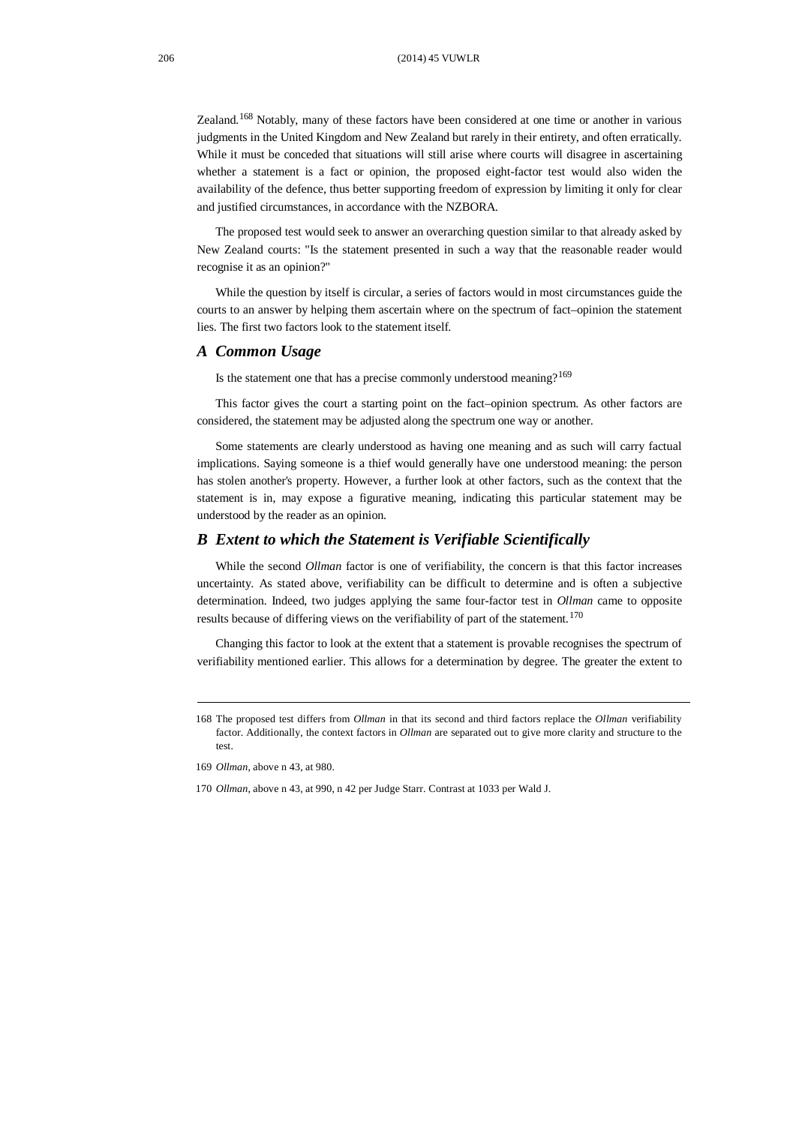Zealand.[168](#page-21-0) Notably, many of these factors have been considered at one time or another in various judgments in the United Kingdom and New Zealand but rarely in their entirety, and often erratically. While it must be conceded that situations will still arise where courts will disagree in ascertaining whether a statement is a fact or opinion, the proposed eight-factor test would also widen the availability of the defence, thus better supporting freedom of expression by limiting it only for clear and justified circumstances, in accordance with the NZBORA.

The proposed test would seek to answer an overarching question similar to that already asked by New Zealand courts: "Is the statement presented in such a way that the reasonable reader would recognise it as an opinion?"

While the question by itself is circular, a series of factors would in most circumstances guide the courts to an answer by helping them ascertain where on the spectrum of fact–opinion the statement lies. The first two factors look to the statement itself.

## *A Common Usage*

Is the statement one that has a precise commonly understood meaning?[169](#page-21-1)

This factor gives the court a starting point on the fact–opinion spectrum. As other factors are considered, the statement may be adjusted along the spectrum one way or another.

Some statements are clearly understood as having one meaning and as such will carry factual implications. Saying someone is a thief would generally have one understood meaning: the person has stolen another's property. However, a further look at other factors, such as the context that the statement is in, may expose a figurative meaning, indicating this particular statement may be understood by the reader as an opinion.

#### *B Extent to which the Statement is Verifiable Scientifically*

While the second *Ollman* factor is one of verifiability, the concern is that this factor increases uncertainty. As stated above, verifiability can be difficult to determine and is often a subjective determination. Indeed, two judges applying the same four-factor test in *Ollman* came to opposite results because of differing views on the verifiability of part of the statement.<sup>[170](#page-21-2)</sup>

Changing this factor to look at the extent that a statement is provable recognises the spectrum of verifiability mentioned earlier. This allows for a determination by degree. The greater the extent to

<span id="page-21-0"></span><sup>168</sup> The proposed test differs from *Ollman* in that its second and third factors replace the *Ollman* verifiability factor. Additionally, the context factors in *Ollman* are separated out to give more clarity and structure to the test.

<span id="page-21-1"></span><sup>169</sup> *Ollman*, above n 43, at 980.

<span id="page-21-2"></span><sup>170</sup> *Ollman*, above n 43, at 990, n 42 per Judge Starr. Contrast at 1033 per Wald J.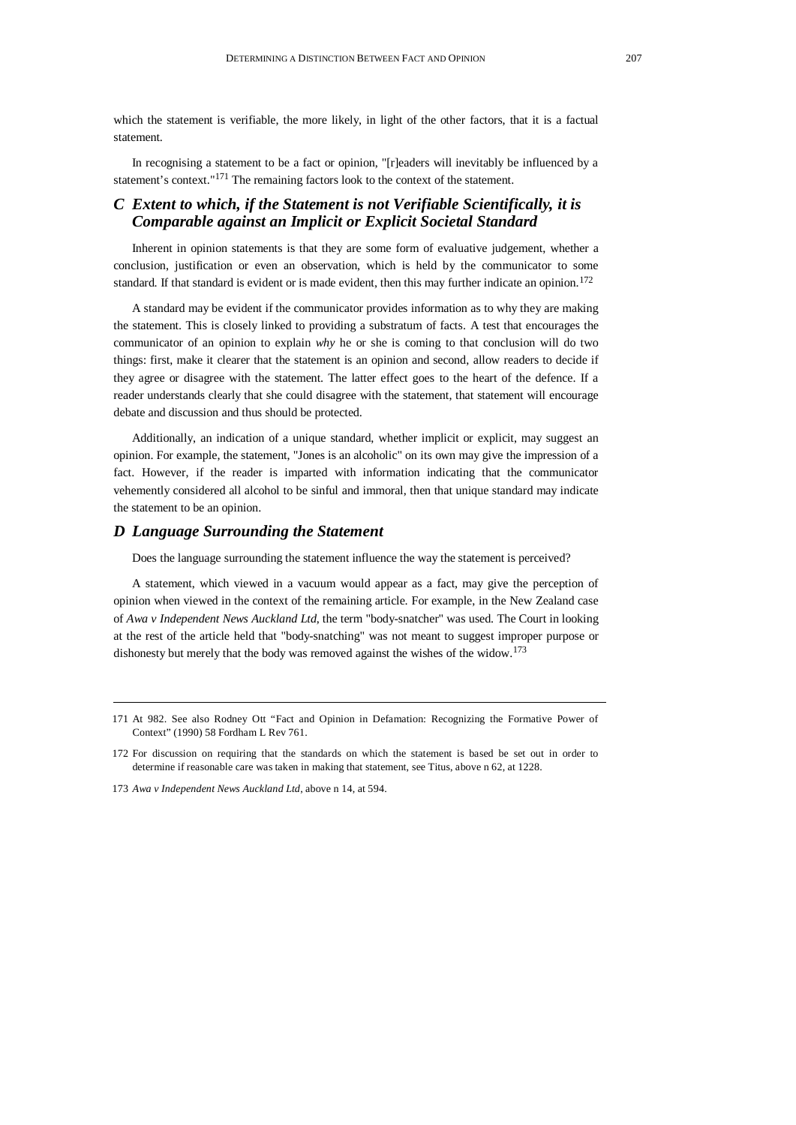which the statement is verifiable, the more likely, in light of the other factors, that it is a factual statement.

In recognising a statement to be a fact or opinion, "[r]eaders will inevitably be influenced by a statement's context."[171](#page-22-0) The remaining factors look to the context of the statement.

# *C Extent to which, if the Statement is not Verifiable Scientifically, it is Comparable against an Implicit or Explicit Societal Standard*

Inherent in opinion statements is that they are some form of evaluative judgement, whether a conclusion, justification or even an observation, which is held by the communicator to some standard. If that standard is evident or is made evident, then this may further indicate an opinion.<sup>[172](#page-22-1)</sup>

A standard may be evident if the communicator provides information as to why they are making the statement. This is closely linked to providing a substratum of facts. A test that encourages the communicator of an opinion to explain *why* he or she is coming to that conclusion will do two things: first, make it clearer that the statement is an opinion and second, allow readers to decide if they agree or disagree with the statement. The latter effect goes to the heart of the defence. If a reader understands clearly that she could disagree with the statement, that statement will encourage debate and discussion and thus should be protected.

Additionally, an indication of a unique standard, whether implicit or explicit, may suggest an opinion. For example, the statement, "Jones is an alcoholic" on its own may give the impression of a fact. However, if the reader is imparted with information indicating that the communicator vehemently considered all alcohol to be sinful and immoral, then that unique standard may indicate the statement to be an opinion.

## *D Language Surrounding the Statement*

Does the language surrounding the statement influence the way the statement is perceived?

A statement, which viewed in a vacuum would appear as a fact, may give the perception of opinion when viewed in the context of the remaining article. For example, in the New Zealand case of *Awa v Independent News Auckland Ltd*, the term "body-snatcher" was used. The Court in looking at the rest of the article held that "body-snatching" was not meant to suggest improper purpose or dishonesty but merely that the body was removed against the wishes of the widow.<sup>[173](#page-22-2)</sup>

<span id="page-22-0"></span><sup>171</sup> At 982. See also Rodney Ott "Fact and Opinion in Defamation: Recognizing the Formative Power of Context" (1990) 58 Fordham L Rev 761.

<span id="page-22-1"></span><sup>172</sup> For discussion on requiring that the standards on which the statement is based be set out in order to determine if reasonable care was taken in making that statement, see Titus, above n 62, at 1228.

<span id="page-22-2"></span><sup>173</sup> *Awa v Independent News Auckland Ltd*, above n 14, at 594.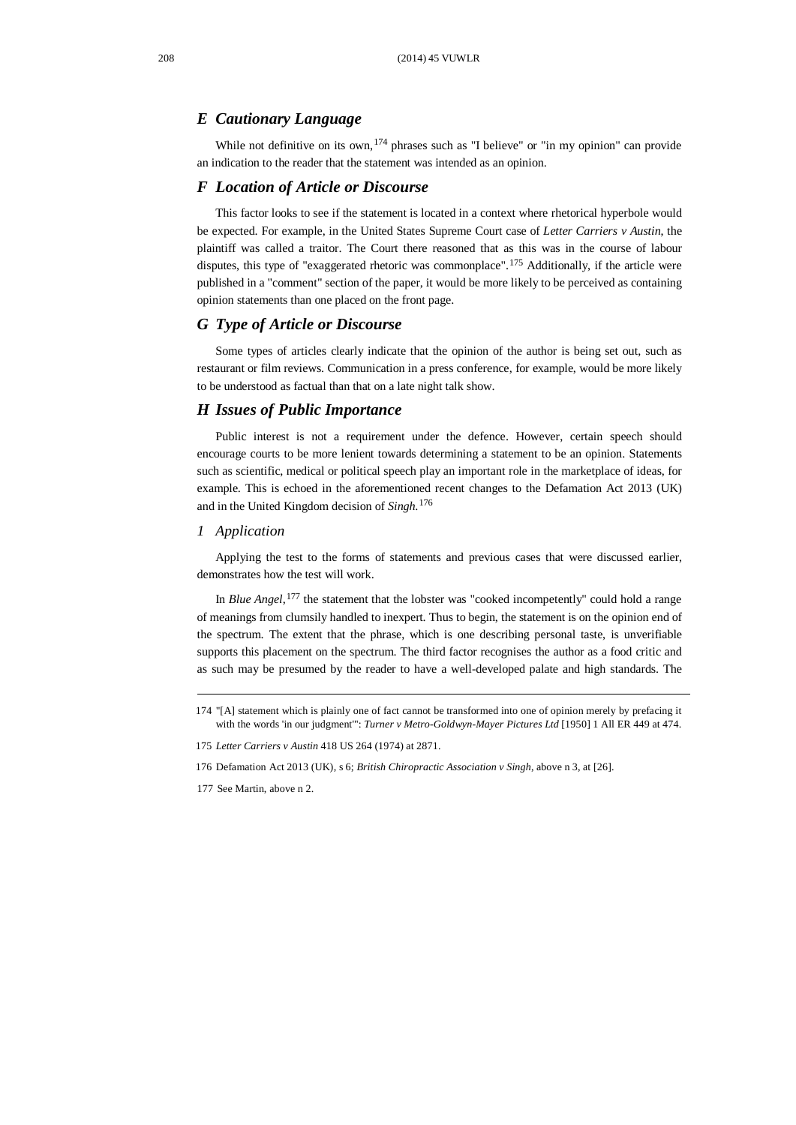#### *E Cautionary Language*

While not definitive on its own,  $174$  phrases such as "I believe" or "in my opinion" can provide an indication to the reader that the statement was intended as an opinion.

#### *F Location of Article or Discourse*

This factor looks to see if the statement is located in a context where rhetorical hyperbole would be expected. For example, in the United States Supreme Court case of *Letter Carriers v Austin*, the plaintiff was called a traitor. The Court there reasoned that as this was in the course of labour disputes, this type of "exaggerated rhetoric was commonplace".<sup>[175](#page-23-1)</sup> Additionally, if the article were published in a "comment" section of the paper, it would be more likely to be perceived as containing opinion statements than one placed on the front page.

## *G Type of Article or Discourse*

Some types of articles clearly indicate that the opinion of the author is being set out, such as restaurant or film reviews. Communication in a press conference, for example, would be more likely to be understood as factual than that on a late night talk show.

## *H Issues of Public Importance*

Public interest is not a requirement under the defence. However, certain speech should encourage courts to be more lenient towards determining a statement to be an opinion. Statements such as scientific, medical or political speech play an important role in the marketplace of ideas, for example. This is echoed in the aforementioned recent changes to the Defamation Act 2013 (UK) and in the United Kingdom decision of *Singh*. [176](#page-23-2)

#### *1 Application*

Applying the test to the forms of statements and previous cases that were discussed earlier, demonstrates how the test will work.

In *Blue Angel*, [177](#page-23-3) the statement that the lobster was "cooked incompetently" could hold a range of meanings from clumsily handled to inexpert. Thus to begin, the statement is on the opinion end of the spectrum. The extent that the phrase, which is one describing personal taste, is unverifiable supports this placement on the spectrum. The third factor recognises the author as a food critic and as such may be presumed by the reader to have a well-developed palate and high standards. The

<span id="page-23-0"></span><sup>174</sup> "[A] statement which is plainly one of fact cannot be transformed into one of opinion merely by prefacing it with the words 'in our judgment'": *Turner v Metro-Goldwyn-Mayer Pictures Ltd* [1950] 1 All ER 449 at 474.

<span id="page-23-1"></span><sup>175</sup> *Letter Carriers v Austin* 418 US 264 (1974) at 2871.

<span id="page-23-2"></span><sup>176</sup> Defamation Act 2013 (UK), s 6; *British Chiropractic Association v Singh*, above n 3, at [26].

<span id="page-23-3"></span><sup>177</sup> See Martin, above n 2.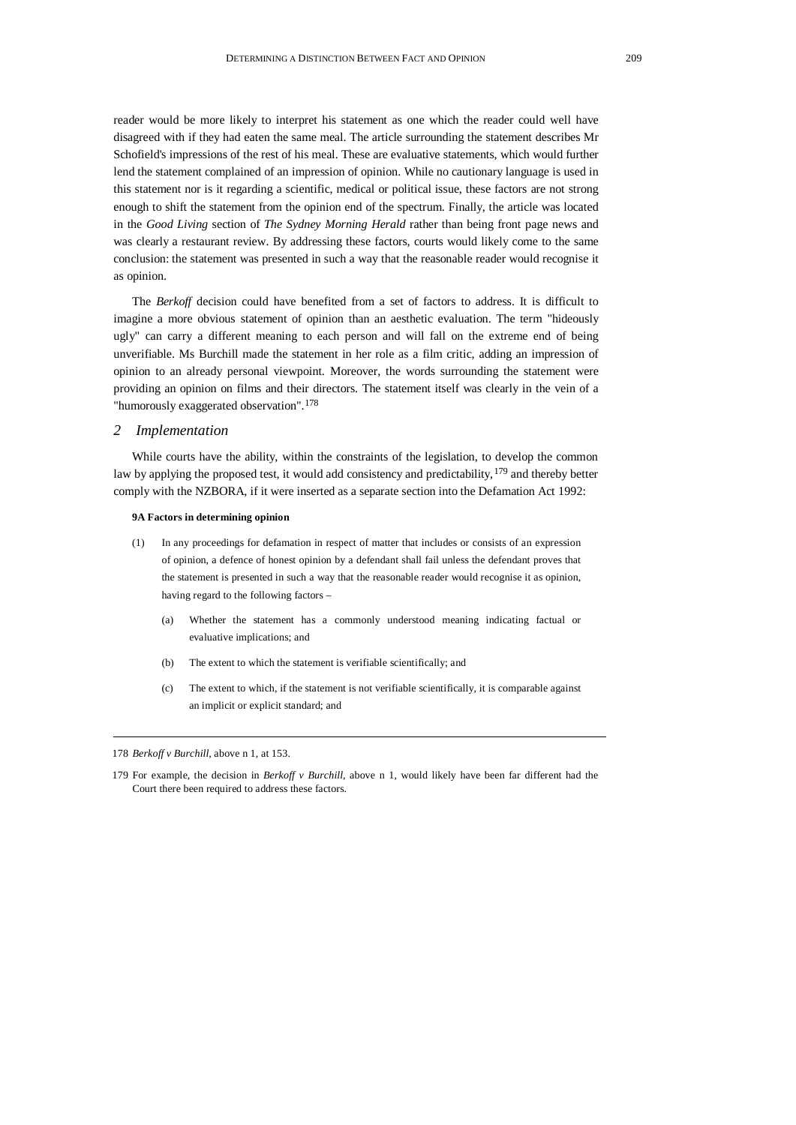reader would be more likely to interpret his statement as one which the reader could well have disagreed with if they had eaten the same meal. The article surrounding the statement describes Mr Schofield's impressions of the rest of his meal. These are evaluative statements, which would further lend the statement complained of an impression of opinion. While no cautionary language is used in this statement nor is it regarding a scientific, medical or political issue, these factors are not strong enough to shift the statement from the opinion end of the spectrum. Finally, the article was located in the *Good Living* section of *The Sydney Morning Herald* rather than being front page news and was clearly a restaurant review. By addressing these factors, courts would likely come to the same conclusion: the statement was presented in such a way that the reasonable reader would recognise it as opinion.

The *Berkoff* decision could have benefited from a set of factors to address. It is difficult to imagine a more obvious statement of opinion than an aesthetic evaluation. The term "hideously ugly" can carry a different meaning to each person and will fall on the extreme end of being unverifiable. Ms Burchill made the statement in her role as a film critic, adding an impression of opinion to an already personal viewpoint. Moreover, the words surrounding the statement were providing an opinion on films and their directors. The statement itself was clearly in the vein of a "humorously exaggerated observation". [178](#page-24-0)

#### *2 Implementation*

While courts have the ability, within the constraints of the legislation, to develop the common law by applying the proposed test, it would add consistency and predictability, [179](#page-24-1) and thereby better comply with the NZBORA, if it were inserted as a separate section into the Defamation Act 1992:

#### **9A Factors in determining opinion**

- (1) In any proceedings for defamation in respect of matter that includes or consists of an expression of opinion, a defence of honest opinion by a defendant shall fail unless the defendant proves that the statement is presented in such a way that the reasonable reader would recognise it as opinion, having regard to the following factors –
	- (a) Whether the statement has a commonly understood meaning indicating factual or evaluative implications; and
	- (b) The extent to which the statement is verifiable scientifically; and
	- (c) The extent to which, if the statement is not verifiable scientifically, it is comparable against an implicit or explicit standard; and

<span id="page-24-0"></span><sup>178</sup> *Berkoff v Burchill*, above n 1, at 153.

<span id="page-24-1"></span><sup>179</sup> For example, the decision in *Berkoff v Burchill*, above n 1, would likely have been far different had the Court there been required to address these factors.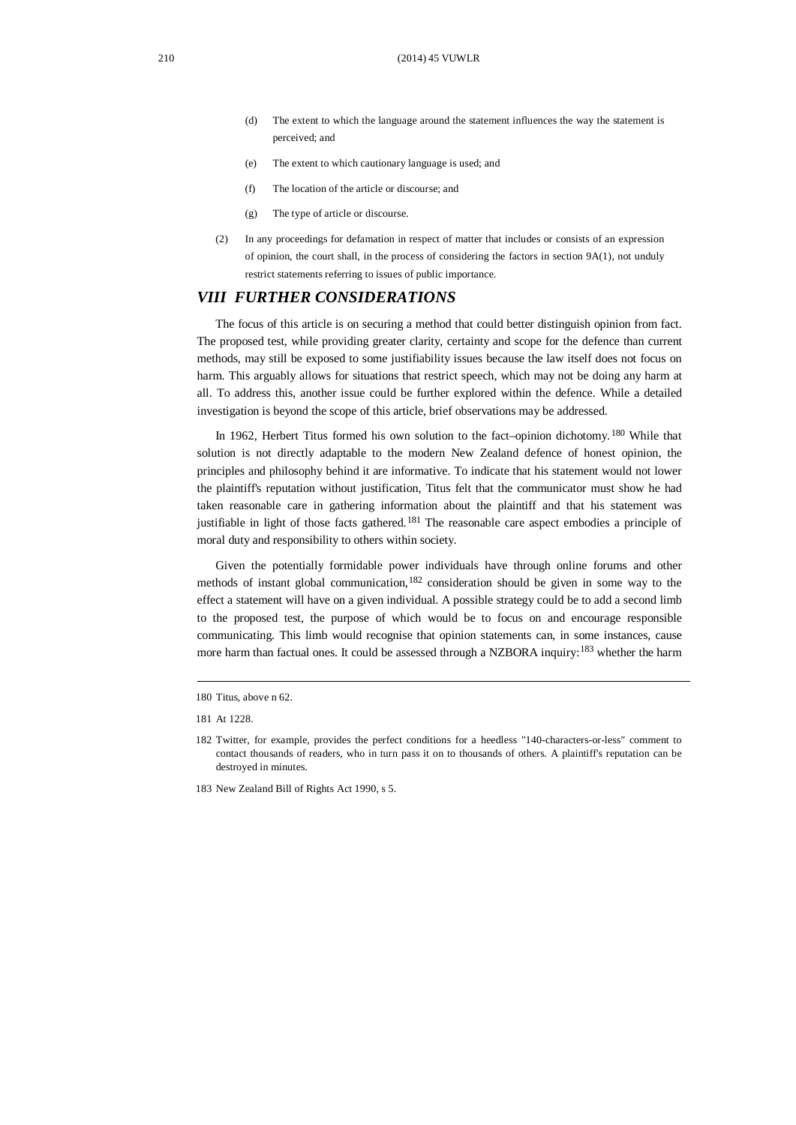- (d) The extent to which the language around the statement influences the way the statement is perceived; and
- (e) The extent to which cautionary language is used; and
- (f) The location of the article or discourse; and
- (g) The type of article or discourse.
- (2) In any proceedings for defamation in respect of matter that includes or consists of an expression of opinion, the court shall, in the process of considering the factors in section 9A(1), not unduly restrict statements referring to issues of public importance.

## *VIII FURTHER CONSIDERATIONS*

The focus of this article is on securing a method that could better distinguish opinion from fact. The proposed test, while providing greater clarity, certainty and scope for the defence than current methods, may still be exposed to some justifiability issues because the law itself does not focus on harm. This arguably allows for situations that restrict speech, which may not be doing any harm at all. To address this, another issue could be further explored within the defence. While a detailed investigation is beyond the scope of this article, brief observations may be addressed.

In 1962, Herbert Titus formed his own solution to the fact–opinion dichotomy.<sup>[180](#page-25-0)</sup> While that solution is not directly adaptable to the modern New Zealand defence of honest opinion, the principles and philosophy behind it are informative. To indicate that his statement would not lower the plaintiff's reputation without justification, Titus felt that the communicator must show he had taken reasonable care in gathering information about the plaintiff and that his statement was justifiable in light of those facts gathered.<sup>[181](#page-25-1)</sup> The reasonable care aspect embodies a principle of moral duty and responsibility to others within society.

Given the potentially formidable power individuals have through online forums and other methods of instant global communication, [182](#page-25-2) consideration should be given in some way to the effect a statement will have on a given individual. A possible strategy could be to add a second limb to the proposed test, the purpose of which would be to focus on and encourage responsible communicating. This limb would recognise that opinion statements can, in some instances, cause more harm than factual ones. It could be assessed through a NZBORA inquiry:[183](#page-25-3) whether the harm

<span id="page-25-0"></span><sup>180</sup> Titus, above n 62.

<span id="page-25-2"></span><span id="page-25-1"></span><sup>181</sup> At 1228.

<sup>182</sup> Twitter, for example, provides the perfect conditions for a heedless "140-characters-or-less" comment to contact thousands of readers, who in turn pass it on to thousands of others. A plaintiff's reputation can be destroyed in minutes.

<span id="page-25-3"></span><sup>183</sup> New Zealand Bill of Rights Act 1990, s 5.